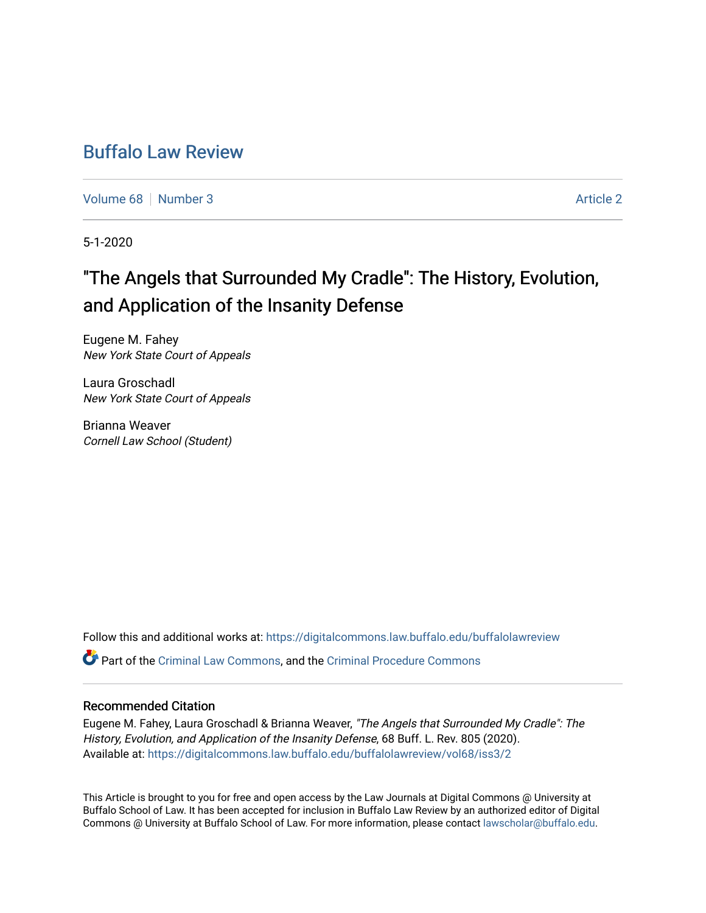# [Buffalo Law Review](https://digitalcommons.law.buffalo.edu/buffalolawreview)

[Volume 68](https://digitalcommons.law.buffalo.edu/buffalolawreview/vol68) [Number 3](https://digitalcommons.law.buffalo.edu/buffalolawreview/vol68/iss3) Article 2

5-1-2020

# "The Angels that Surrounded My Cradle": The History, Evolution, and Application of the Insanity Defense

Eugene M. Fahey New York State Court of Appeals

Laura Groschadl New York State Court of Appeals

Brianna Weaver Cornell Law School (Student)

Follow this and additional works at: [https://digitalcommons.law.buffalo.edu/buffalolawreview](https://digitalcommons.law.buffalo.edu/buffalolawreview?utm_source=digitalcommons.law.buffalo.edu%2Fbuffalolawreview%2Fvol68%2Fiss3%2F2&utm_medium=PDF&utm_campaign=PDFCoverPages) 

Part of the [Criminal Law Commons,](http://network.bepress.com/hgg/discipline/912?utm_source=digitalcommons.law.buffalo.edu%2Fbuffalolawreview%2Fvol68%2Fiss3%2F2&utm_medium=PDF&utm_campaign=PDFCoverPages) and the [Criminal Procedure Commons](http://network.bepress.com/hgg/discipline/1073?utm_source=digitalcommons.law.buffalo.edu%2Fbuffalolawreview%2Fvol68%2Fiss3%2F2&utm_medium=PDF&utm_campaign=PDFCoverPages)

#### Recommended Citation

Eugene M. Fahey, Laura Groschadl & Brianna Weaver, "The Angels that Surrounded My Cradle": The History, Evolution, and Application of the Insanity Defense, 68 Buff. L. Rev. 805 (2020). Available at: [https://digitalcommons.law.buffalo.edu/buffalolawreview/vol68/iss3/2](https://digitalcommons.law.buffalo.edu/buffalolawreview/vol68/iss3/2?utm_source=digitalcommons.law.buffalo.edu%2Fbuffalolawreview%2Fvol68%2Fiss3%2F2&utm_medium=PDF&utm_campaign=PDFCoverPages) 

This Article is brought to you for free and open access by the Law Journals at Digital Commons @ University at Buffalo School of Law. It has been accepted for inclusion in Buffalo Law Review by an authorized editor of Digital Commons @ University at Buffalo School of Law. For more information, please contact [lawscholar@buffalo.edu](mailto:lawscholar@buffalo.edu).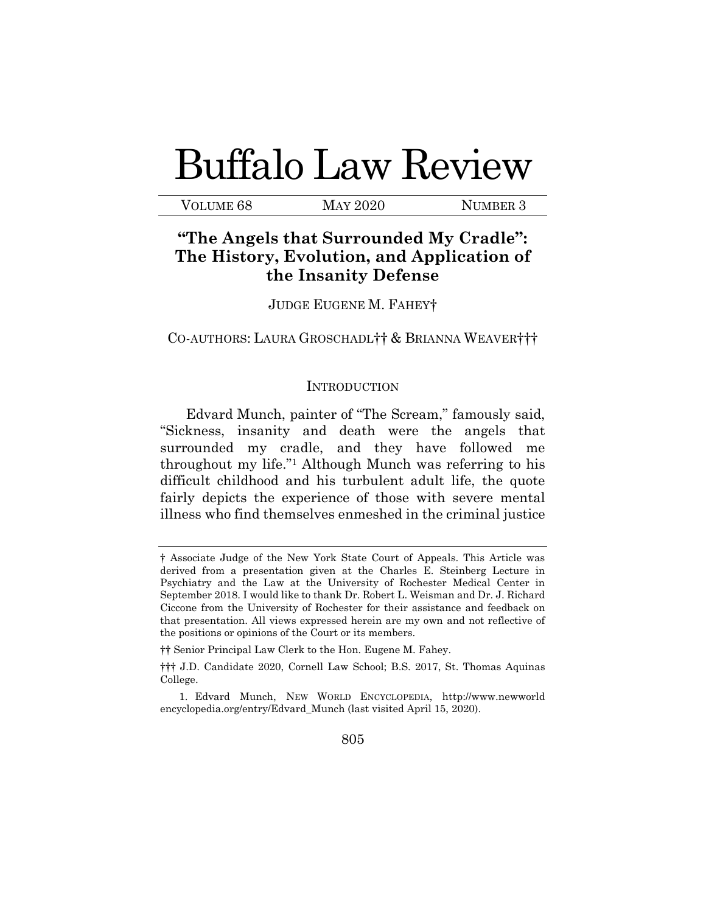# Buffalo Law Review

## **"The Angels that Surrounded My Cradle": The History, Evolution, and Application of the Insanity Defense**

### JUDGE EUGENE M. FAHEY†

CO-AUTHORS: LAURA GROSCHADL†† & BRIANNA WEAVER†††

#### **INTRODUCTION**

Edvard Munch, painter of "The Scream," famously said, "Sickness, insanity and death were the angels that surrounded my cradle, and they have followed me throughout my life."<sup>1</sup> Although Munch was referring to his difficult childhood and his turbulent adult life, the quote fairly depicts the experience of those with severe mental illness who find themselves enmeshed in the criminal justice

<sup>†</sup> Associate Judge of the New York State Court of Appeals. This Article was derived from a presentation given at the Charles E. Steinberg Lecture in Psychiatry and the Law at the University of Rochester Medical Center in September 2018. I would like to thank Dr. Robert L. Weisman and Dr. J. Richard Ciccone from the University of Rochester for their assistance and feedback on that presentation. All views expressed herein are my own and not reflective of the positions or opinions of the Court or its members.

<sup>††</sup> Senior Principal Law Clerk to the Hon. Eugene M. Fahey.

<sup>†††</sup> J.D. Candidate 2020, Cornell Law School; B.S. 2017, St. Thomas Aquinas College.

<sup>1.</sup> Edvard Munch, NEW WORLD ENCYCLOPEDIA, http://www.newworld encyclopedia.org/entry/Edvard\_Munch (last visited April 15, 2020).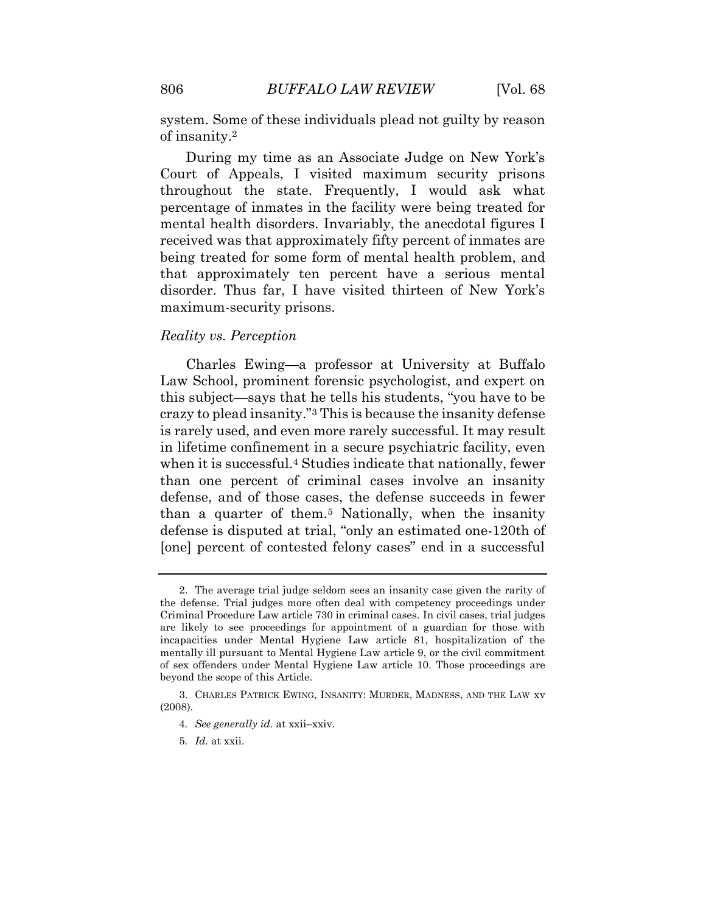system. Some of these individuals plead not guilty by reason of insanity.<sup>2</sup>

During my time as an Associate Judge on New York's Court of Appeals, I visited maximum security prisons throughout the state. Frequently, I would ask what percentage of inmates in the facility were being treated for mental health disorders. Invariably, the anecdotal figures I received was that approximately fifty percent of inmates are being treated for some form of mental health problem, and that approximately ten percent have a serious mental disorder. Thus far, I have visited thirteen of New York's maximum-security prisons.

#### *Reality vs. Perception*

Charles Ewing—a professor at University at Buffalo Law School, prominent forensic psychologist, and expert on this subject—says that he tells his students, "you have to be crazy to plead insanity."<sup>3</sup> This is because the insanity defense is rarely used, and even more rarely successful. It may result in lifetime confinement in a secure psychiatric facility, even when it is successful.<sup>4</sup> Studies indicate that nationally, fewer than one percent of criminal cases involve an insanity defense, and of those cases, the defense succeeds in fewer than a quarter of them.<sup>5</sup> Nationally, when the insanity defense is disputed at trial, "only an estimated one-120th of [one] percent of contested felony cases" end in a successful

<sup>2.</sup> The average trial judge seldom sees an insanity case given the rarity of the defense. Trial judges more often deal with competency proceedings under Criminal Procedure Law article 730 in criminal cases. In civil cases, trial judges are likely to see proceedings for appointment of a guardian for those with incapacities under Mental Hygiene Law article 81, hospitalization of the mentally ill pursuant to Mental Hygiene Law article 9, or the civil commitment of sex offenders under Mental Hygiene Law article 10. Those proceedings are beyond the scope of this Article.

<sup>3.</sup> CHARLES PATRICK EWING, INSANITY: MURDER, MADNESS, AND THE LAW xv (2008).

<sup>4</sup>*. See generally id.* at xxii–xxiv.

<sup>5</sup>*. Id.* at xxii.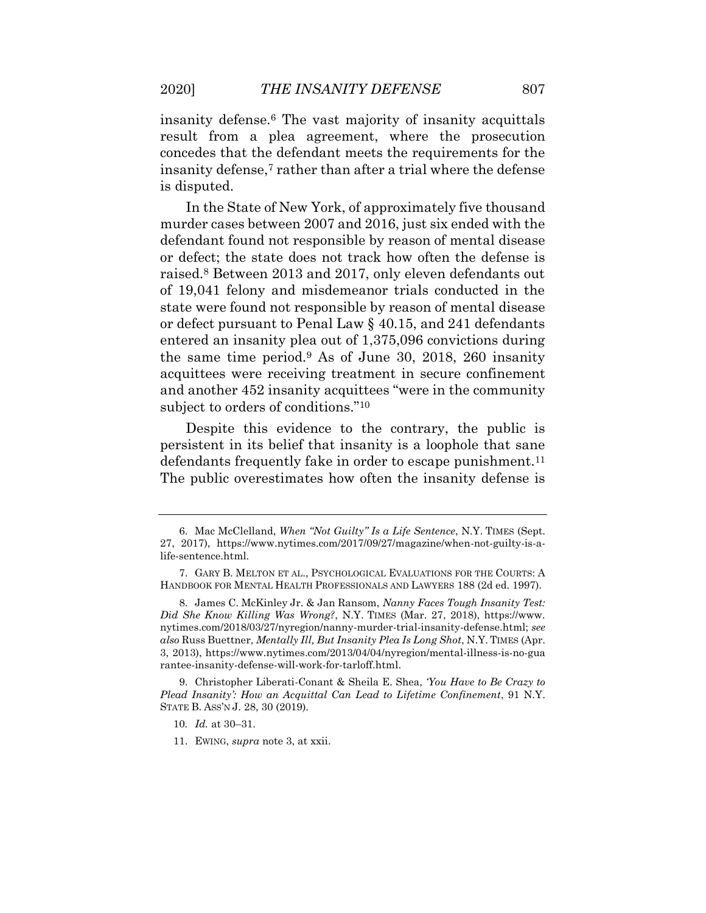insanity defense.<sup>6</sup> The vast majority of insanity acquittals result from a plea agreement, where the prosecution concedes that the defendant meets the requirements for the insanity defense,<sup>7</sup> rather than after a trial where the defense is disputed.

In the State of New York, of approximately five thousand murder cases between 2007 and 2016, just six ended with the defendant found not responsible by reason of mental disease or defect; the state does not track how often the defense is raised.<sup>8</sup> Between 2013 and 2017, only eleven defendants out of 19,041 felony and misdemeanor trials conducted in the state were found not responsible by reason of mental disease or defect pursuant to Penal Law § 40.15, and 241 defendants entered an insanity plea out of 1,375,096 convictions during the same time period.<sup>9</sup> As of June 30, 2018, 260 insanity acquittees were receiving treatment in secure confinement and another 452 insanity acquittees "were in the community subject to orders of conditions."<sup>10</sup>

Despite this evidence to the contrary, the public is persistent in its belief that insanity is a loophole that sane defendants frequently fake in order to escape punishment.<sup>11</sup> The public overestimates how often the insanity defense is

8. James C. McKinley Jr. & Jan Ransom, *Nanny Faces Tough Insanity Test: Did She Know Killing Was Wrong?*, N.Y. TIMES (Mar. 27, 2018), https://www. nytimes.com/2018/03/27/nyregion/nanny-murder-trial-insanity-defense.html; *see also* Russ Buettner, *Mentally Ill, But Insanity Plea Is Long Shot*, N.Y. TIMES (Apr. 3, 2013), https://www.nytimes.com/2013/04/04/nyregion/mental-illness-is-no-gua rantee-insanity-defense-will-work-for-tarloff.html.

9. Christopher Liberati-Conant & Sheila E. Shea, *'You Have to Be Crazy to Plead Insanity': How an Acquittal Can Lead to Lifetime Confinement*, 91 N.Y. STATE B. ASS'N J. 28, 30 (2019).

10*. Id.* at 30–31.

11. EWING, *supra* note 3, at xxii.

<sup>6.</sup> Mac McClelland, *When "Not Guilty" Is a Life Sentence*, N.Y. TIMES (Sept. 27, 2017), https://www.nytimes.com/2017/09/27/magazine/when-not-guilty-is-alife-sentence.html.

<sup>7.</sup> GARY B. MELTON ET AL., PSYCHOLOGICAL EVALUATIONS FOR THE COURTS: A HANDBOOK FOR MENTAL HEALTH PROFESSIONALS AND LAWYERS 188 (2d ed. 1997).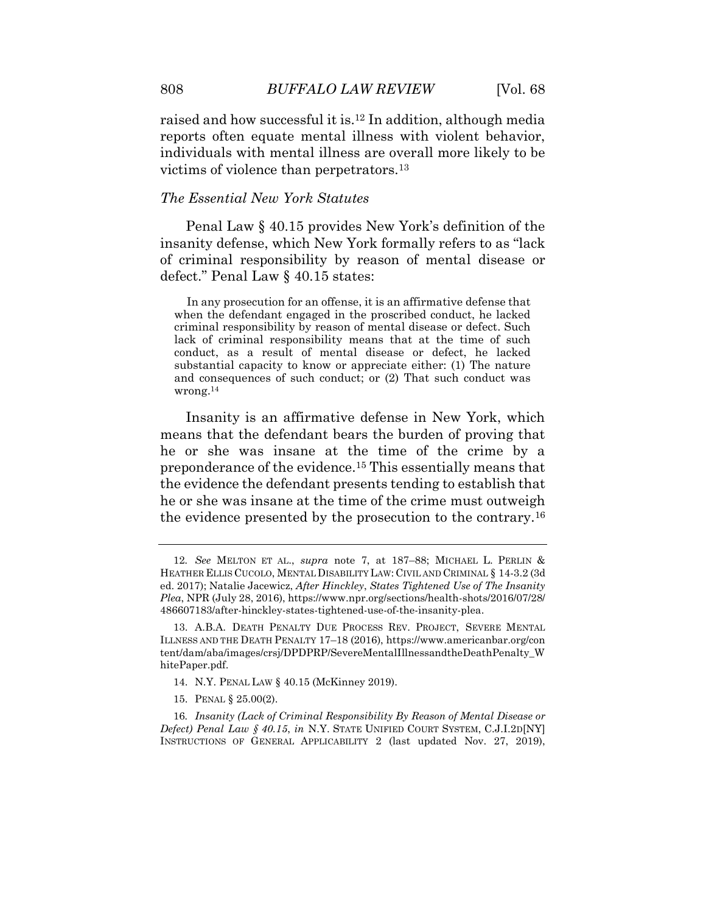raised and how successful it is.<sup>12</sup> In addition, although media reports often equate mental illness with violent behavior, individuals with mental illness are overall more likely to be victims of violence than perpetrators.<sup>13</sup>

#### *The Essential New York Statutes*

Penal Law § 40.15 provides New York's definition of the insanity defense, which New York formally refers to as "lack of criminal responsibility by reason of mental disease or defect." Penal Law § 40.15 states:

In any prosecution for an offense, it is an affirmative defense that when the defendant engaged in the proscribed conduct, he lacked criminal responsibility by reason of mental disease or defect. Such lack of criminal responsibility means that at the time of such conduct, as a result of mental disease or defect, he lacked substantial capacity to know or appreciate either: (1) The nature and consequences of such conduct; or (2) That such conduct was wrong.<sup>14</sup>

Insanity is an affirmative defense in New York, which means that the defendant bears the burden of proving that he or she was insane at the time of the crime by a preponderance of the evidence.<sup>15</sup> This essentially means that the evidence the defendant presents tending to establish that he or she was insane at the time of the crime must outweigh the evidence presented by the prosecution to the contrary.<sup>16</sup>

- 14. N.Y. PENAL LAW § 40.15 (McKinney 2019).
- 15. PENAL § 25.00(2).

16*. Insanity (Lack of Criminal Responsibility By Reason of Mental Disease or Defect) Penal Law § 40.15*, *in* N.Y. STATE UNIFIED COURT SYSTEM, C.J.I.2D[NY] INSTRUCTIONS OF GENERAL APPLICABILITY 2 (last updated Nov. 27, 2019),

<sup>12</sup>*. See* MELTON ET AL., *supra* note 7, at 187–88; MICHAEL L. PERLIN & HEATHER ELLIS CUCOLO, MENTAL DISABILITY LAW: CIVIL AND CRIMINAL § 14-3.2 (3d ed. 2017); Natalie Jacewicz, *After Hinckley*, *States Tightened Use of The Insanity Plea*, NPR (July 28, 2016), https://www.npr.org/sections/health-shots/2016/07/28/ 486607183/after-hinckley-states-tightened-use-of-the-insanity-plea.

<sup>13.</sup> A.B.A. DEATH PENALTY DUE PROCESS REV. PROJECT, SEVERE MENTAL ILLNESS AND THE DEATH PENALTY 17–18 (2016), https://www.americanbar.org/con tent/dam/aba/images/crsj/DPDPRP/SevereMentalIllnessandtheDeathPenalty\_W hitePaper.pdf.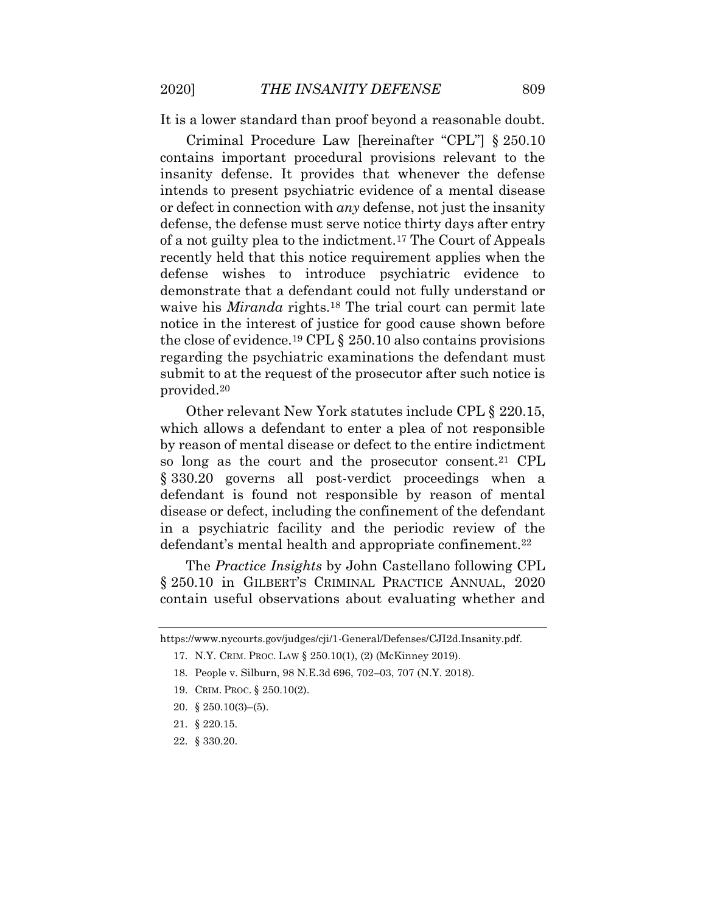It is a lower standard than proof beyond a reasonable doubt.

Criminal Procedure Law [hereinafter "CPL"] § 250.10 contains important procedural provisions relevant to the insanity defense. It provides that whenever the defense intends to present psychiatric evidence of a mental disease or defect in connection with *any* defense, not just the insanity defense, the defense must serve notice thirty days after entry of a not guilty plea to the indictment.<sup>17</sup> The Court of Appeals recently held that this notice requirement applies when the defense wishes to introduce psychiatric evidence to demonstrate that a defendant could not fully understand or waive his *Miranda* rights.<sup>18</sup> The trial court can permit late notice in the interest of justice for good cause shown before the close of evidence.<sup>19</sup> CPL § 250.10 also contains provisions regarding the psychiatric examinations the defendant must submit to at the request of the prosecutor after such notice is provided.<sup>20</sup>

Other relevant New York statutes include CPL § 220.15, which allows a defendant to enter a plea of not responsible by reason of mental disease or defect to the entire indictment so long as the court and the prosecutor consent.<sup>21</sup> CPL § 330.20 governs all post-verdict proceedings when a defendant is found not responsible by reason of mental disease or defect, including the confinement of the defendant in a psychiatric facility and the periodic review of the defendant's mental health and appropriate confinement.<sup>22</sup>

The *Practice Insights* by John Castellano following CPL § 250.10 in GILBERT'S CRIMINAL PRACTICE ANNUAL, 2020 contain useful observations about evaluating whether and

22. § 330.20.

https://www.nycourts.gov/judges/cji/1-General/Defenses/CJI2d.Insanity.pdf.

<sup>17.</sup> N.Y. CRIM. PROC. LAW § 250.10(1), (2) (McKinney 2019).

<sup>18.</sup> People v. Silburn, 98 N.E.3d 696, 702–03, 707 (N.Y. 2018).

<sup>19.</sup> CRIM. PROC. § 250.10(2).

<sup>20.</sup> § 250.10(3)–(5).

<sup>21.</sup> § 220.15.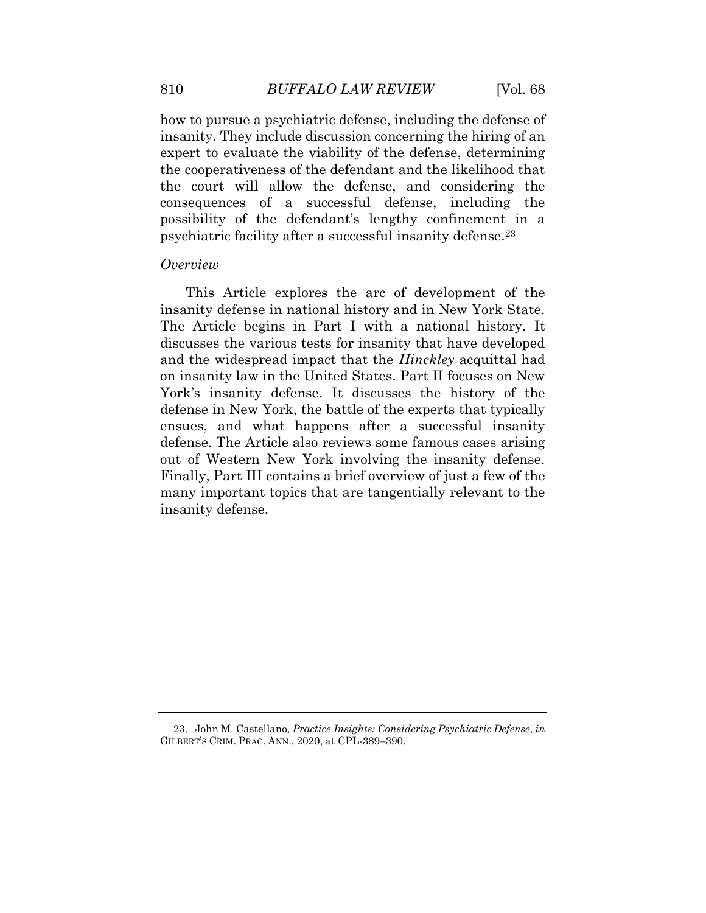how to pursue a psychiatric defense, including the defense of insanity. They include discussion concerning the hiring of an expert to evaluate the viability of the defense, determining the cooperativeness of the defendant and the likelihood that the court will allow the defense, and considering the consequences of a successful defense, including the possibility of the defendant's lengthy confinement in a psychiatric facility after a successful insanity defense.<sup>23</sup>

#### *Overview*

This Article explores the arc of development of the insanity defense in national history and in New York State. The Article begins in Part I with a national history. It discusses the various tests for insanity that have developed and the widespread impact that the *Hinckley* acquittal had on insanity law in the United States. Part II focuses on New York's insanity defense. It discusses the history of the defense in New York, the battle of the experts that typically ensues, and what happens after a successful insanity defense. The Article also reviews some famous cases arising out of Western New York involving the insanity defense. Finally, Part III contains a brief overview of just a few of the many important topics that are tangentially relevant to the insanity defense.

<sup>23.</sup> John M. Castellano, *Practice Insights: Considering Psychiatric Defense*, *in* GILBERT'S CRIM. PRAC. ANN., 2020, at CPL-389–390.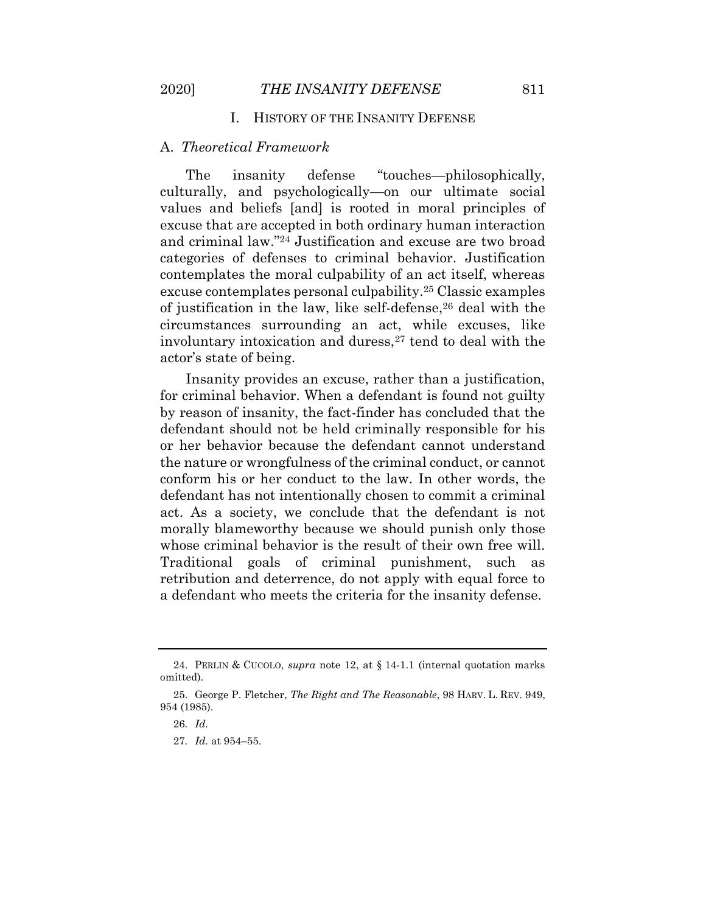#### I. HISTORY OF THE INSANITY DEFENSE

#### A. *Theoretical Framework*

The insanity defense "touches—philosophically, culturally, and psychologically—on our ultimate social values and beliefs [and] is rooted in moral principles of excuse that are accepted in both ordinary human interaction and criminal law."<sup>24</sup> Justification and excuse are two broad categories of defenses to criminal behavior. Justification contemplates the moral culpability of an act itself, whereas excuse contemplates personal culpability.<sup>25</sup> Classic examples of justification in the law, like self-defense,<sup>26</sup> deal with the circumstances surrounding an act, while excuses, like involuntary intoxication and duress,<sup>27</sup> tend to deal with the actor's state of being.

Insanity provides an excuse, rather than a justification, for criminal behavior. When a defendant is found not guilty by reason of insanity, the fact-finder has concluded that the defendant should not be held criminally responsible for his or her behavior because the defendant cannot understand the nature or wrongfulness of the criminal conduct, or cannot conform his or her conduct to the law. In other words, the defendant has not intentionally chosen to commit a criminal act. As a society, we conclude that the defendant is not morally blameworthy because we should punish only those whose criminal behavior is the result of their own free will. Traditional goals of criminal punishment, such retribution and deterrence, do not apply with equal force to a defendant who meets the criteria for the insanity defense.

<sup>24.</sup> PERLIN & CUCOLO, *supra* note 12, at § 14-1.1 (internal quotation marks omitted).

<sup>25.</sup> George P. Fletcher, *The Right and The Reasonable*, 98 HARV. L. REV. 949, 954 (1985).

<sup>26</sup>*. Id.*

<sup>27</sup>*. Id.* at 954–55.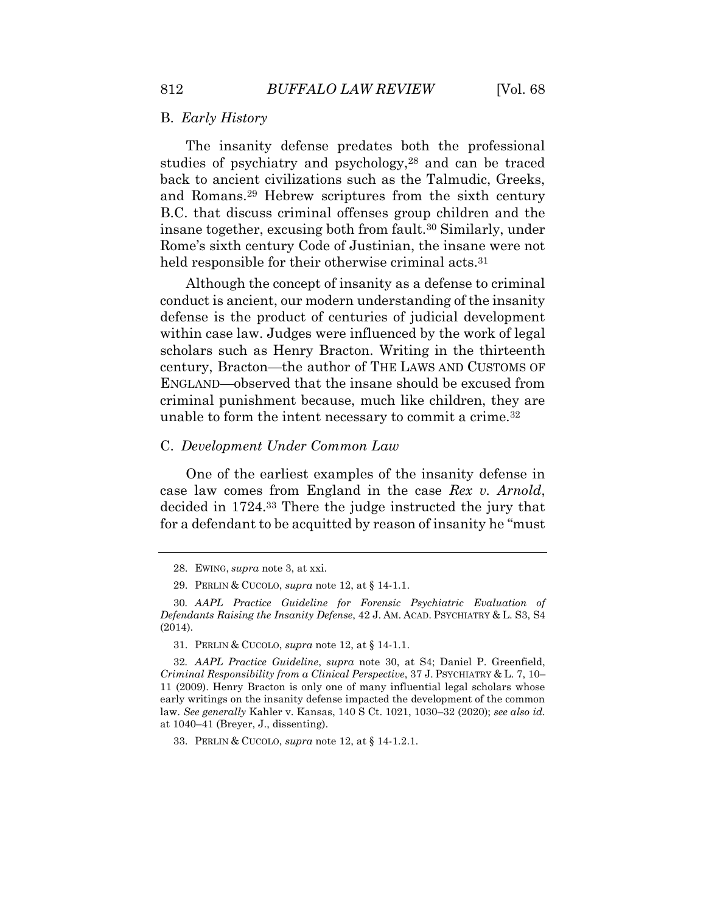#### B. *Early History*

The insanity defense predates both the professional studies of psychiatry and psychology,<sup>28</sup> and can be traced back to ancient civilizations such as the Talmudic, Greeks, and Romans.<sup>29</sup> Hebrew scriptures from the sixth century B.C. that discuss criminal offenses group children and the insane together, excusing both from fault.<sup>30</sup> Similarly, under Rome's sixth century Code of Justinian, the insane were not held responsible for their otherwise criminal acts.<sup>31</sup>

Although the concept of insanity as a defense to criminal conduct is ancient, our modern understanding of the insanity defense is the product of centuries of judicial development within case law. Judges were influenced by the work of legal scholars such as Henry Bracton. Writing in the thirteenth century, Bracton—the author of THE LAWS AND CUSTOMS OF ENGLAND—observed that the insane should be excused from criminal punishment because, much like children, they are unable to form the intent necessary to commit a crime.<sup>32</sup>

#### C. *Development Under Common Law*

One of the earliest examples of the insanity defense in case law comes from England in the case *Rex v. Arnold*, decided in 1724.<sup>33</sup> There the judge instructed the jury that for a defendant to be acquitted by reason of insanity he "must

<sup>28.</sup> EWING, *supra* note 3, at xxi.

<sup>29.</sup> PERLIN & CUCOLO, *supra* note 12, at § 14-1.1.

<sup>30</sup>*. AAPL Practice Guideline for Forensic Psychiatric Evaluation of Defendants Raising the Insanity Defense*, 42 J. AM. ACAD. PSYCHIATRY & L. S3, S4 (2014).

<sup>31.</sup> PERLIN & CUCOLO, *supra* note 12, at § 14-1.1.

<sup>32</sup>*. AAPL Practice Guideline*, *supra* note 30, at S4; Daniel P. Greenfield, *Criminal Responsibility from a Clinical Perspective*, 37 J. PSYCHIATRY & L. 7, 10– 11 (2009). Henry Bracton is only one of many influential legal scholars whose early writings on the insanity defense impacted the development of the common law. *See generally* Kahler v. Kansas, 140 S Ct. 1021, 1030–32 (2020); *see also id.* at 1040–41 (Breyer, J., dissenting).

<sup>33.</sup> PERLIN & CUCOLO, *supra* note 12, at § 14-1.2.1.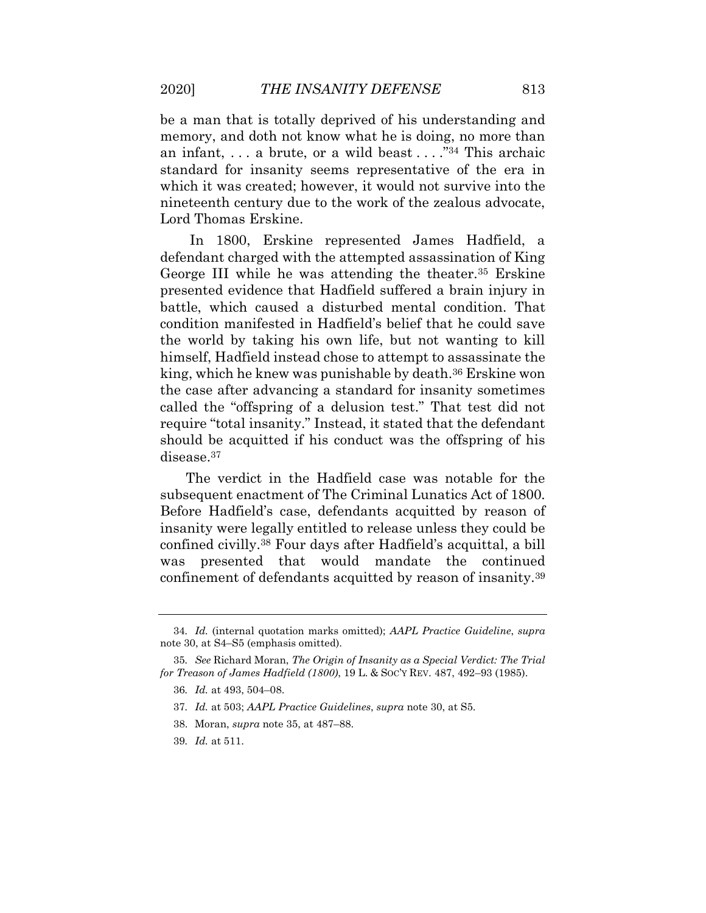be a man that is totally deprived of his understanding and memory, and doth not know what he is doing, no more than an infant,  $\dots$  a brute, or a wild beast  $\dots$ ."<sup>34</sup> This archaic standard for insanity seems representative of the era in which it was created; however, it would not survive into the nineteenth century due to the work of the zealous advocate, Lord Thomas Erskine.

In 1800, Erskine represented James Hadfield, a defendant charged with the attempted assassination of King George III while he was attending the theater.<sup>35</sup> Erskine presented evidence that Hadfield suffered a brain injury in battle, which caused a disturbed mental condition. That condition manifested in Hadfield's belief that he could save the world by taking his own life, but not wanting to kill himself, Hadfield instead chose to attempt to assassinate the king, which he knew was punishable by death.<sup>36</sup> Erskine won the case after advancing a standard for insanity sometimes called the "offspring of a delusion test." That test did not require "total insanity." Instead, it stated that the defendant should be acquitted if his conduct was the offspring of his disease.<sup>37</sup>

The verdict in the Hadfield case was notable for the subsequent enactment of The Criminal Lunatics Act of 1800. Before Hadfield's case, defendants acquitted by reason of insanity were legally entitled to release unless they could be confined civilly.<sup>38</sup> Four days after Hadfield's acquittal, a bill was presented that would mandate the continued confinement of defendants acquitted by reason of insanity.<sup>39</sup>

<sup>34</sup>*. Id.* (internal quotation marks omitted); *AAPL Practice Guideline*, *supra* note 30, at S4–S5 (emphasis omitted).

<sup>35</sup>*. See* Richard Moran, *The Origin of Insanity as a Special Verdict: The Trial for Treason of James Hadfield (1800)*, 19 L. & SOC'Y REV. 487, 492–93 (1985).

<sup>36</sup>*. Id.* at 493, 504–08.

<sup>37</sup>*. Id.* at 503; *AAPL Practice Guidelines*, *supra* note 30, at S5.

<sup>38.</sup> Moran, *supra* note 35, at 487–88.

<sup>39</sup>*. Id.* at 511.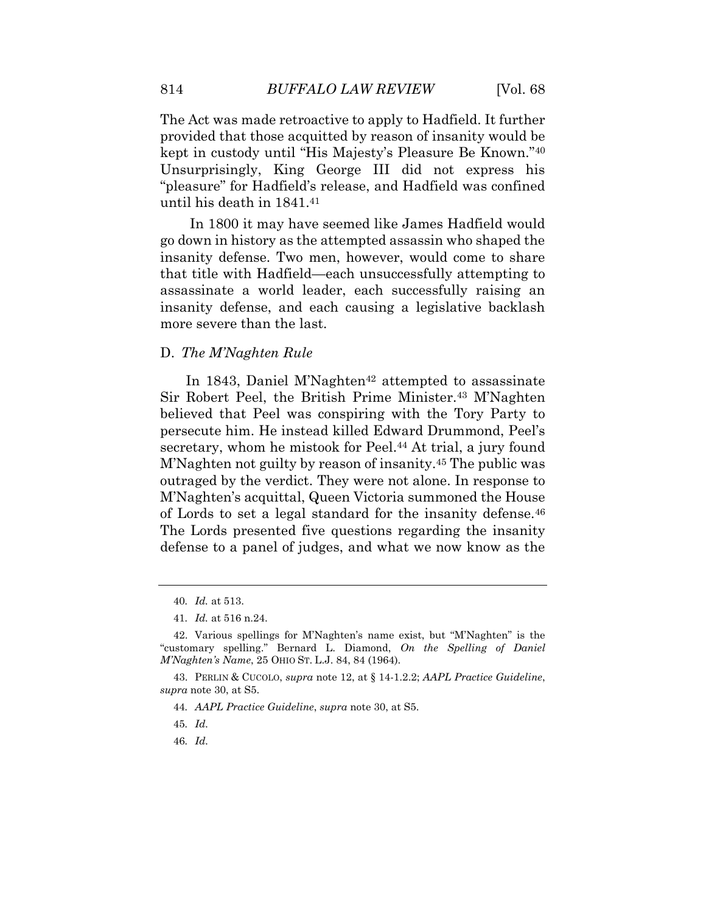The Act was made retroactive to apply to Hadfield. It further provided that those acquitted by reason of insanity would be kept in custody until "His Majesty's Pleasure Be Known."<sup>40</sup> Unsurprisingly, King George III did not express his "pleasure" for Hadfield's release, and Hadfield was confined until his death in 1841.<sup>41</sup>

In 1800 it may have seemed like James Hadfield would go down in history as the attempted assassin who shaped the insanity defense. Two men, however, would come to share that title with Hadfield—each unsuccessfully attempting to assassinate a world leader, each successfully raising an insanity defense, and each causing a legislative backlash more severe than the last.

#### D. *The M'Naghten Rule*

In 1843, Daniel M'Naghten<sup>42</sup> attempted to assassinate Sir Robert Peel, the British Prime Minister.<sup>43</sup> M'Naghten believed that Peel was conspiring with the Tory Party to persecute him. He instead killed Edward Drummond, Peel's secretary, whom he mistook for Peel.<sup>44</sup> At trial, a jury found M'Naghten not guilty by reason of insanity.<sup>45</sup> The public was outraged by the verdict. They were not alone. In response to M'Naghten's acquittal, Queen Victoria summoned the House of Lords to set a legal standard for the insanity defense.<sup>46</sup> The Lords presented five questions regarding the insanity defense to a panel of judges, and what we now know as the

44*. AAPL Practice Guideline*, *supra* note 30, at S5.

45*. Id.*

46*. Id.*

<sup>40</sup>*. Id.* at 513.

<sup>41</sup>*. Id.* at 516 n.24.

<sup>42.</sup> Various spellings for M'Naghten's name exist, but "M'Naghten" is the "customary spelling." Bernard L. Diamond, *On the Spelling of Daniel M'Naghten's Name*, 25 OHIO ST. L.J. 84, 84 (1964).

<sup>43.</sup> PERLIN & CUCOLO, *supra* note 12, at § 14-1.2.2; *AAPL Practice Guideline*, *supra* note 30, at S5.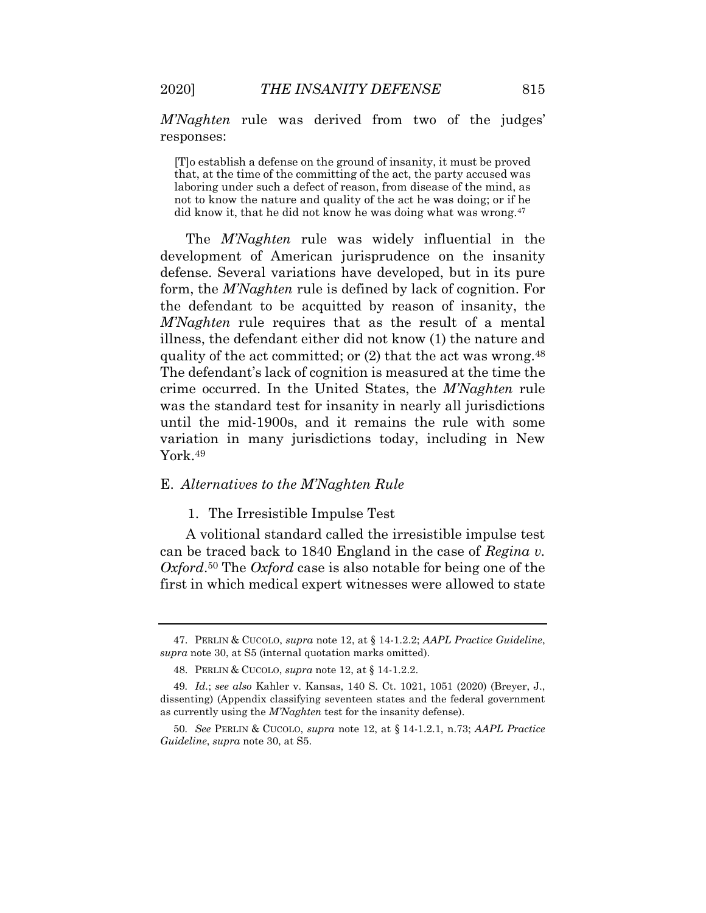*M'Naghten* rule was derived from two of the judges' responses:

[T]o establish a defense on the ground of insanity, it must be proved that, at the time of the committing of the act, the party accused was laboring under such a defect of reason, from disease of the mind, as not to know the nature and quality of the act he was doing; or if he did know it, that he did not know he was doing what was wrong.<sup>47</sup>

The *M'Naghten* rule was widely influential in the development of American jurisprudence on the insanity defense. Several variations have developed, but in its pure form, the *M'Naghten* rule is defined by lack of cognition. For the defendant to be acquitted by reason of insanity, the *M'Naghten* rule requires that as the result of a mental illness, the defendant either did not know (1) the nature and quality of the act committed; or (2) that the act was wrong.<sup>48</sup> The defendant's lack of cognition is measured at the time the crime occurred. In the United States, the *M'Naghten* rule was the standard test for insanity in nearly all jurisdictions until the mid-1900s, and it remains the rule with some variation in many jurisdictions today, including in New York.<sup>49</sup>

#### E. *Alternatives to the M'Naghten Rule*

#### 1. The Irresistible Impulse Test

A volitional standard called the irresistible impulse test can be traced back to 1840 England in the case of *Regina v. Oxford*. <sup>50</sup> The *Oxford* case is also notable for being one of the first in which medical expert witnesses were allowed to state

<sup>47.</sup> PERLIN & CUCOLO, *supra* note 12, at § 14-1.2.2; *AAPL Practice Guideline*, *supra* note 30, at S5 (internal quotation marks omitted).

<sup>48.</sup> PERLIN & CUCOLO, *supra* note 12, at § 14-1.2.2.

<sup>49</sup>*. Id.*; *see also* Kahler v. Kansas, 140 S. Ct. 1021, 1051 (2020) (Breyer, J., dissenting) (Appendix classifying seventeen states and the federal government as currently using the *M'Naghten* test for the insanity defense).

<sup>50</sup>*. See* PERLIN & CUCOLO, *supra* note 12, at § 14-1.2.1, n.73; *AAPL Practice Guideline*, *supra* note 30, at S5.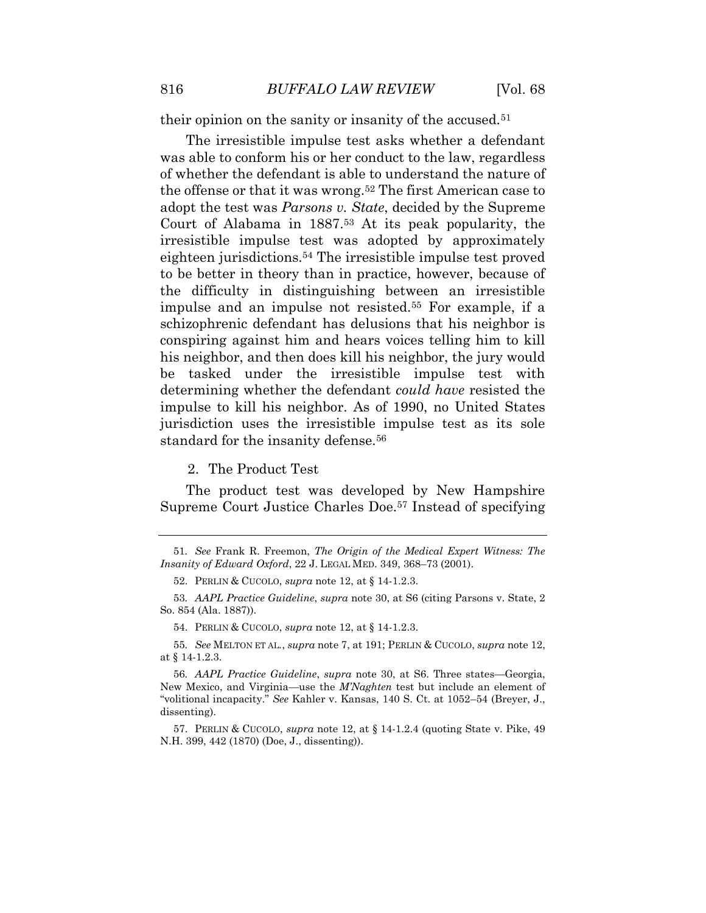their opinion on the sanity or insanity of the accused.<sup>51</sup>

The irresistible impulse test asks whether a defendant was able to conform his or her conduct to the law, regardless of whether the defendant is able to understand the nature of the offense or that it was wrong.<sup>52</sup> The first American case to adopt the test was *Parsons v. State*, decided by the Supreme Court of Alabama in 1887.<sup>53</sup> At its peak popularity, the irresistible impulse test was adopted by approximately eighteen jurisdictions.<sup>54</sup> The irresistible impulse test proved to be better in theory than in practice, however, because of the difficulty in distinguishing between an irresistible impulse and an impulse not resisted.<sup>55</sup> For example, if a schizophrenic defendant has delusions that his neighbor is conspiring against him and hears voices telling him to kill his neighbor, and then does kill his neighbor, the jury would be tasked under the irresistible impulse test with determining whether the defendant *could have* resisted the impulse to kill his neighbor. As of 1990, no United States jurisdiction uses the irresistible impulse test as its sole standard for the insanity defense.<sup>56</sup>

2. The Product Test

The product test was developed by New Hampshire Supreme Court Justice Charles Doe.<sup>57</sup> Instead of specifying

<sup>51</sup>*. See* Frank R. Freemon, *The Origin of the Medical Expert Witness: The Insanity of Edward Oxford*, 22 J. LEGAL MED. 349, 368–73 (2001).

<sup>52.</sup> PERLIN & CUCOLO, *supra* note 12, at § 14-1.2.3.

<sup>53</sup>*. AAPL Practice Guideline*, *supra* note 30, at S6 (citing Parsons v. State, 2 So. 854 (Ala. 1887)).

<sup>54.</sup> PERLIN & CUCOLO, *supra* note 12, at § 14-1.2.3.

<sup>55</sup>*. See* MELTON ET AL*.*, *supra* note 7, at 191; PERLIN & CUCOLO, *supra* note 12, at § 14-1.2.3.

<sup>56</sup>*. AAPL Practice Guideline*, *supra* note 30, at S6. Three states—Georgia, New Mexico, and Virginia—use the *M'Naghten* test but include an element of "volitional incapacity." *See* Kahler v. Kansas, 140 S. Ct. at 1052–54 (Breyer, J., dissenting).

<sup>57.</sup> PERLIN & CUCOLO, *supra* note 12, at § 14-1.2.4 (quoting State v. Pike, 49 N.H. 399, 442 (1870) (Doe, J., dissenting)).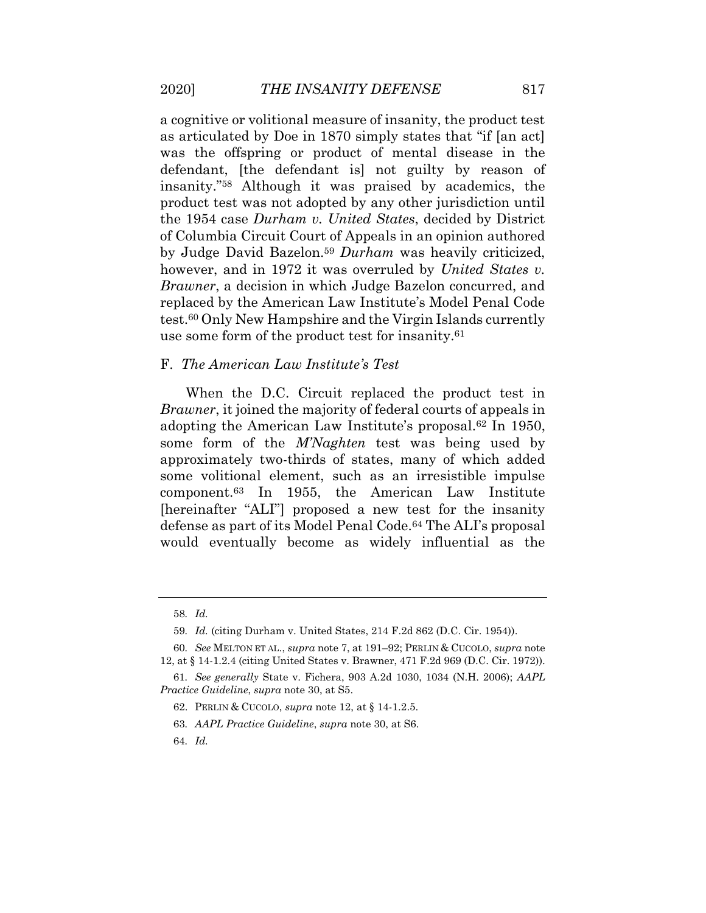a cognitive or volitional measure of insanity, the product test as articulated by Doe in 1870 simply states that "if [an act] was the offspring or product of mental disease in the defendant, [the defendant is] not guilty by reason of insanity."<sup>58</sup> Although it was praised by academics, the product test was not adopted by any other jurisdiction until the 1954 case *Durham v. United States*, decided by District of Columbia Circuit Court of Appeals in an opinion authored by Judge David Bazelon.<sup>59</sup> *Durham* was heavily criticized, however, and in 1972 it was overruled by *United States v. Brawner*, a decision in which Judge Bazelon concurred, and replaced by the American Law Institute's Model Penal Code test.<sup>60</sup> Only New Hampshire and the Virgin Islands currently use some form of the product test for insanity.<sup>61</sup>

#### F. *The American Law Institute's Test*

When the D.C. Circuit replaced the product test in *Brawner*, it joined the majority of federal courts of appeals in adopting the American Law Institute's proposal.<sup>62</sup> In 1950, some form of the *M'Naghten* test was being used by approximately two-thirds of states, many of which added some volitional element, such as an irresistible impulse component.<sup>63</sup> In 1955, the American Law Institute [hereinafter "ALI"] proposed a new test for the insanity defense as part of its Model Penal Code.<sup>64</sup> The ALI's proposal would eventually become as widely influential as the

<sup>58</sup>*. Id.*

<sup>59</sup>*. Id.* (citing Durham v. United States, 214 F.2d 862 (D.C. Cir. 1954)).

<sup>60</sup>*. See* MELTON ET AL., *supra* note 7, at 191–92; PERLIN & CUCOLO, *supra* note 12, at § 14-1.2.4 (citing United States v. Brawner, 471 F.2d 969 (D.C. Cir. 1972)).

<sup>61</sup>*. See generally* State v. Fichera, 903 A.2d 1030, 1034 (N.H. 2006); *AAPL Practice Guideline*, *supra* note 30, at S5.

<sup>62.</sup> PERLIN & CUCOLO, *supra* note 12, at § 14-1.2.5.

<sup>63</sup>*. AAPL Practice Guideline*, *supra* note 30, at S6.

<sup>64</sup>*. Id.*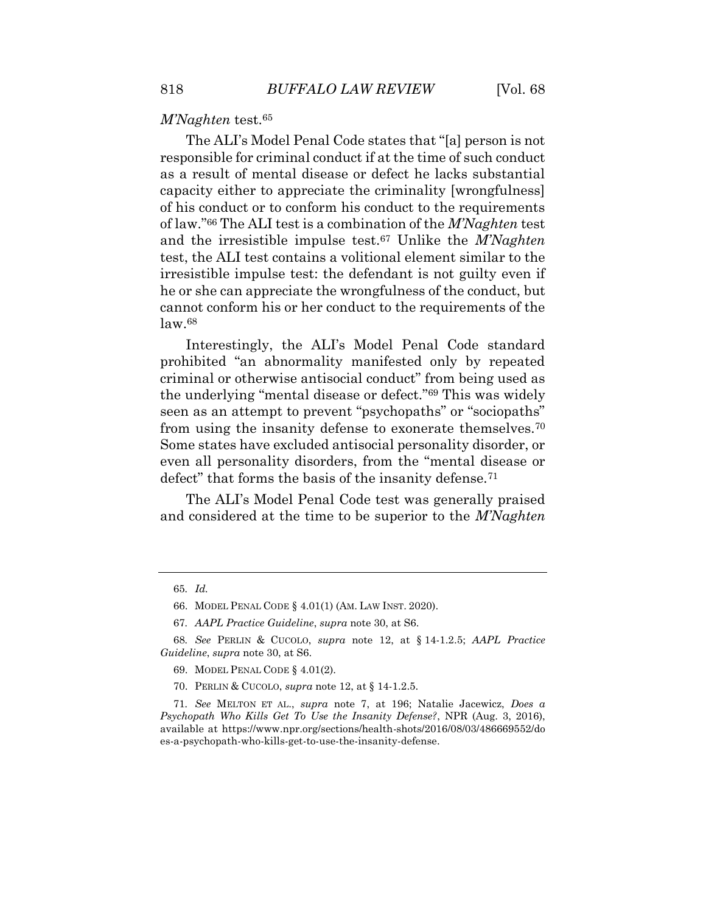#### *M'Naghten* test.<sup>65</sup>

The ALI's Model Penal Code states that "[a] person is not responsible for criminal conduct if at the time of such conduct as a result of mental disease or defect he lacks substantial capacity either to appreciate the criminality [wrongfulness] of his conduct or to conform his conduct to the requirements of law."<sup>66</sup> The ALI test is a combination of the *M'Naghten* test and the irresistible impulse test.<sup>67</sup> Unlike the *M'Naghten* test, the ALI test contains a volitional element similar to the irresistible impulse test: the defendant is not guilty even if he or she can appreciate the wrongfulness of the conduct, but cannot conform his or her conduct to the requirements of the law.<sup>68</sup>

Interestingly, the ALI's Model Penal Code standard prohibited "an abnormality manifested only by repeated criminal or otherwise antisocial conduct" from being used as the underlying "mental disease or defect."<sup>69</sup> This was widely seen as an attempt to prevent "psychopaths" or "sociopaths" from using the insanity defense to exonerate themselves.<sup>70</sup> Some states have excluded antisocial personality disorder, or even all personality disorders, from the "mental disease or defect" that forms the basis of the insanity defense.<sup>71</sup>

The ALI's Model Penal Code test was generally praised and considered at the time to be superior to the *M'Naghten* 

<sup>65</sup>*. Id.*

<sup>66.</sup> MODEL PENAL CODE § 4.01(1) (AM. LAW INST. 2020).

<sup>67</sup>*. AAPL Practice Guideline*, *supra* note 30, at S6.

<sup>68</sup>*. See* PERLIN & CUCOLO, *supra* note 12, at § 14-1.2.5; *AAPL Practice Guideline*, *supra* note 30, at S6.

<sup>69.</sup> MODEL PENAL CODE § 4.01(2).

<sup>70.</sup> PERLIN & CUCOLO, *supra* note 12, at § 14-1.2.5.

<sup>71</sup>*. See* MELTON ET AL., *supra* note 7, at 196; Natalie Jacewicz, *Does a Psychopath Who Kills Get To Use the Insanity Defense?*, NPR (Aug. 3, 2016), available at https://www.npr.org/sections/health-shots/2016/08/03/486669552/do es-a-psychopath-who-kills-get-to-use-the-insanity-defense.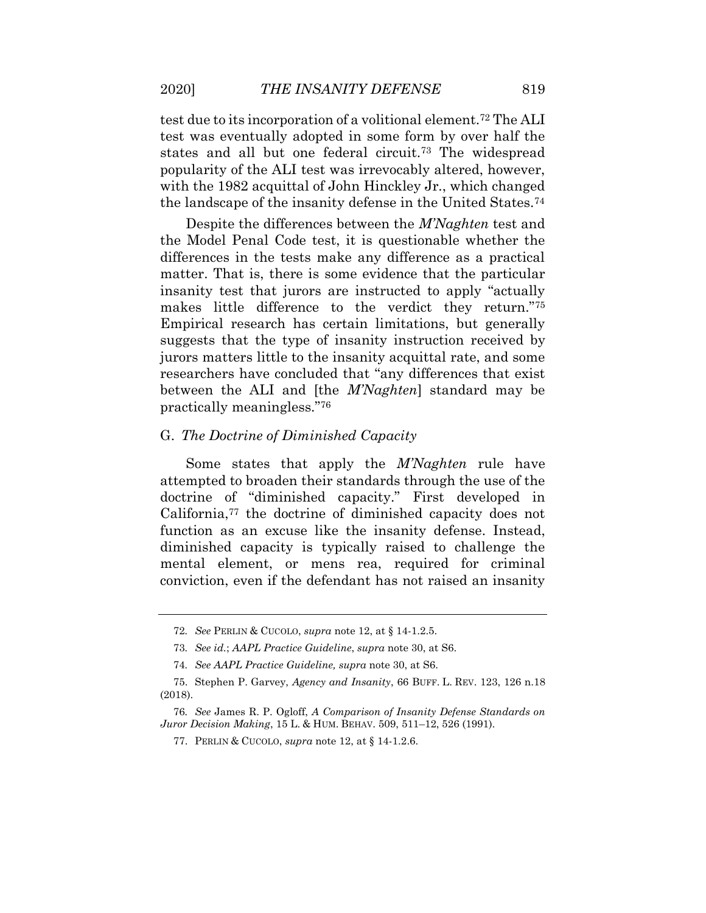test due to its incorporation of a volitional element.<sup>72</sup> The ALI test was eventually adopted in some form by over half the states and all but one federal circuit.<sup>73</sup> The widespread popularity of the ALI test was irrevocably altered, however, with the 1982 acquittal of John Hinckley Jr., which changed the landscape of the insanity defense in the United States.<sup>74</sup>

Despite the differences between the *M'Naghten* test and the Model Penal Code test, it is questionable whether the differences in the tests make any difference as a practical matter. That is, there is some evidence that the particular insanity test that jurors are instructed to apply "actually makes little difference to the verdict they return."<sup>75</sup> Empirical research has certain limitations, but generally suggests that the type of insanity instruction received by jurors matters little to the insanity acquittal rate, and some researchers have concluded that "any differences that exist between the ALI and [the *M'Naghten*] standard may be practically meaningless."<sup>76</sup>

#### G. *The Doctrine of Diminished Capacity*

Some states that apply the *M'Naghten* rule have attempted to broaden their standards through the use of the doctrine of "diminished capacity." First developed in California,<sup>77</sup> the doctrine of diminished capacity does not function as an excuse like the insanity defense. Instead, diminished capacity is typically raised to challenge the mental element, or mens rea, required for criminal conviction, even if the defendant has not raised an insanity

<sup>72</sup>*. See* PERLIN & CUCOLO, *supra* note 12, at § 14-1.2.5.

<sup>73</sup>*. See id.*; *AAPL Practice Guideline*, *supra* note 30, at S6.

<sup>74</sup>*. See AAPL Practice Guideline, supra* note 30, at S6.

<sup>75.</sup> Stephen P. Garvey, *Agency and Insanity*, 66 BUFF. L. REV. 123, 126 n.18 (2018).

<sup>76</sup>*. See* James R. P. Ogloff, *A Comparison of Insanity Defense Standards on Juror Decision Making*, 15 L. & HUM. BEHAV. 509, 511–12, 526 (1991).

<sup>77.</sup> PERLIN & CUCOLO, *supra* note 12, at § 14-1.2.6.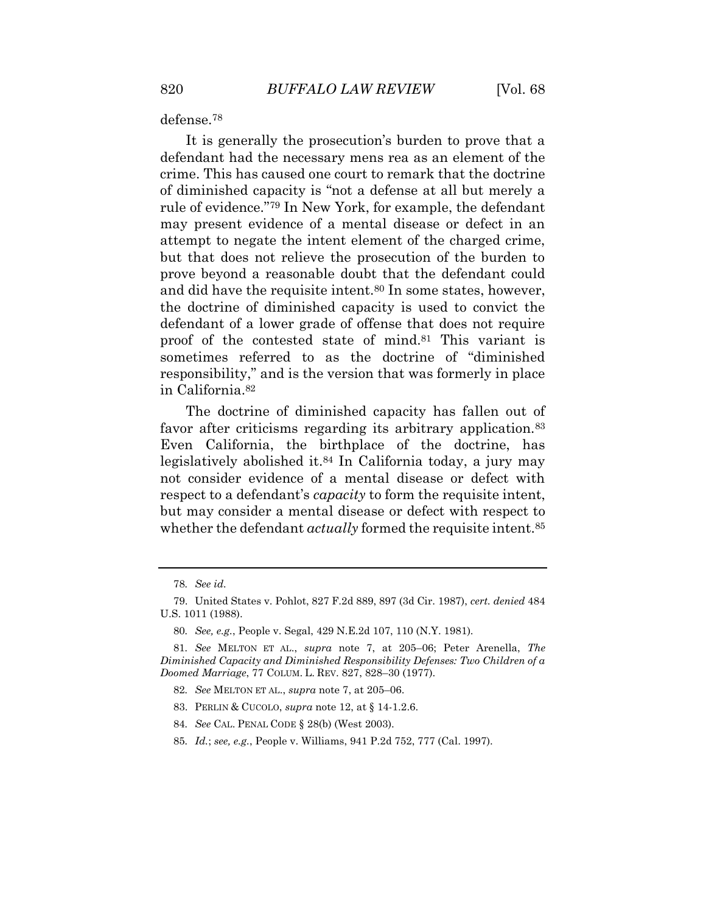defense.<sup>78</sup>

It is generally the prosecution's burden to prove that a defendant had the necessary mens rea as an element of the crime. This has caused one court to remark that the doctrine of diminished capacity is "not a defense at all but merely a rule of evidence."<sup>79</sup> In New York, for example, the defendant may present evidence of a mental disease or defect in an attempt to negate the intent element of the charged crime, but that does not relieve the prosecution of the burden to prove beyond a reasonable doubt that the defendant could and did have the requisite intent.<sup>80</sup> In some states, however, the doctrine of diminished capacity is used to convict the defendant of a lower grade of offense that does not require proof of the contested state of mind.<sup>81</sup> This variant is sometimes referred to as the doctrine of "diminished responsibility," and is the version that was formerly in place in California.<sup>82</sup>

The doctrine of diminished capacity has fallen out of favor after criticisms regarding its arbitrary application.<sup>83</sup> Even California, the birthplace of the doctrine, has legislatively abolished it.<sup>84</sup> In California today, a jury may not consider evidence of a mental disease or defect with respect to a defendant's *capacity* to form the requisite intent, but may consider a mental disease or defect with respect to whether the defendant *actually* formed the requisite intent.<sup>85</sup>

85*. Id.*; *see, e.g.*, People v. Williams, 941 P.2d 752, 777 (Cal. 1997).

<sup>78</sup>*. See id.*

<sup>79.</sup> United States v. Pohlot, 827 F.2d 889, 897 (3d Cir. 1987), *cert. denied* 484 U.S. 1011 (1988).

<sup>80</sup>*. See, e.g.*, People v. Segal, 429 N.E.2d 107, 110 (N.Y. 1981).

<sup>81</sup>*. See* MELTON ET AL., *supra* note 7, at 205–06; Peter Arenella, *The Diminished Capacity and Diminished Responsibility Defenses: Two Children of a Doomed Marriage*, 77 COLUM. L. REV. 827, 828–30 (1977).

<sup>82</sup>*. See* MELTON ET AL., *supra* note 7, at 205–06.

<sup>83.</sup> PERLIN & CUCOLO, *supra* note 12, at § 14-1.2.6.

<sup>84</sup>*. See* CAL. PENAL CODE § 28(b) (West 2003).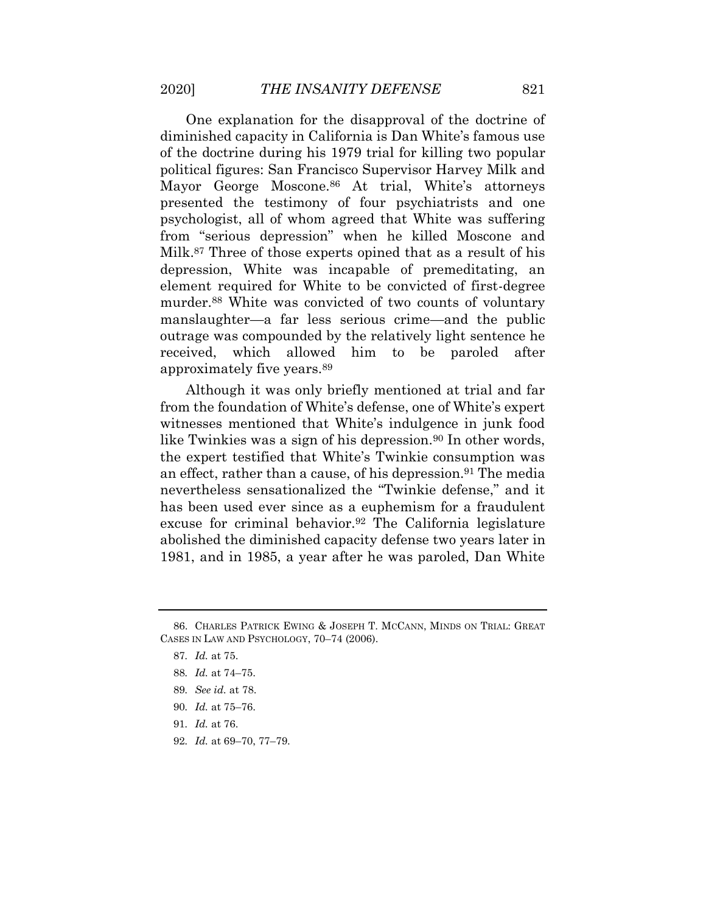One explanation for the disapproval of the doctrine of diminished capacity in California is Dan White's famous use of the doctrine during his 1979 trial for killing two popular political figures: San Francisco Supervisor Harvey Milk and Mayor George Moscone.<sup>86</sup> At trial, White's attorneys presented the testimony of four psychiatrists and one psychologist, all of whom agreed that White was suffering from "serious depression" when he killed Moscone and Milk.<sup>87</sup> Three of those experts opined that as a result of his depression, White was incapable of premeditating, an element required for White to be convicted of first-degree murder.<sup>88</sup> White was convicted of two counts of voluntary manslaughter—a far less serious crime—and the public outrage was compounded by the relatively light sentence he received, which allowed him to be paroled after approximately five years.<sup>89</sup>

Although it was only briefly mentioned at trial and far from the foundation of White's defense, one of White's expert witnesses mentioned that White's indulgence in junk food like Twinkies was a sign of his depression.<sup>90</sup> In other words, the expert testified that White's Twinkie consumption was an effect, rather than a cause, of his depression.<sup>91</sup> The media nevertheless sensationalized the "Twinkie defense," and it has been used ever since as a euphemism for a fraudulent excuse for criminal behavior.<sup>92</sup> The California legislature abolished the diminished capacity defense two years later in 1981, and in 1985, a year after he was paroled, Dan White

- 89*. See id.* at 78.
- 90*. Id.* at 75–76.
- 91*. Id.* at 76.
- 92*. Id.* at 69–70, 77–79.

<sup>86.</sup> CHARLES PATRICK EWING & JOSEPH T. MCCANN, MINDS ON TRIAL: GREAT CASES IN LAW AND PSYCHOLOGY, 70–74 (2006).

<sup>87</sup>*. Id.* at 75.

<sup>88</sup>*. Id.* at 74–75.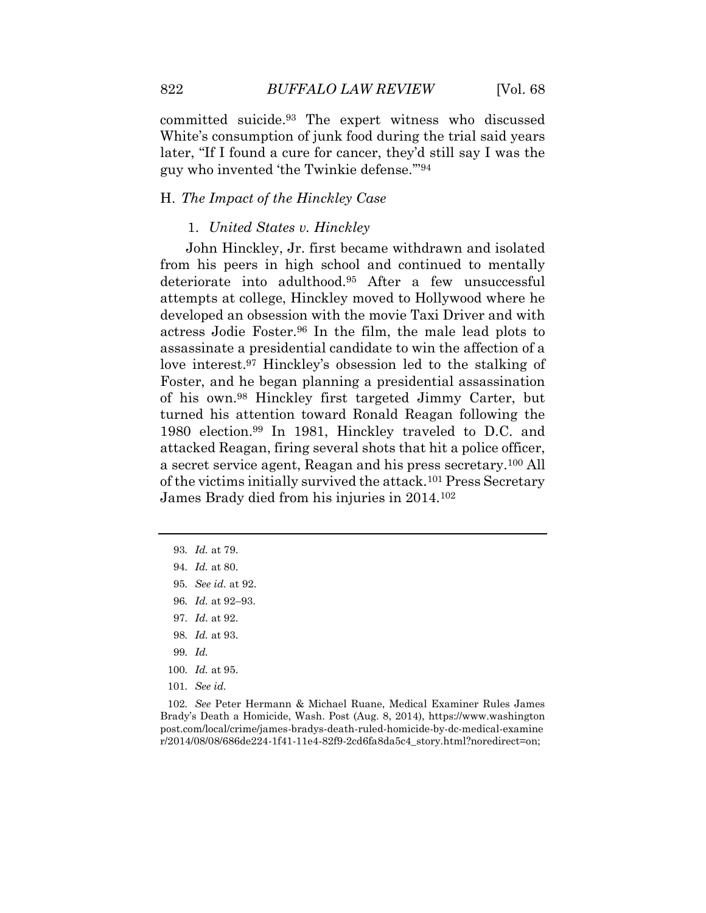committed suicide.<sup>93</sup> The expert witness who discussed White's consumption of junk food during the trial said years later, "If I found a cure for cancer, they'd still say I was the guy who invented 'the Twinkie defense.'"<sup>94</sup>

#### H. *The Impact of the Hinckley Case*

#### 1. *United States v. Hinckley*

John Hinckley, Jr. first became withdrawn and isolated from his peers in high school and continued to mentally deteriorate into adulthood.<sup>95</sup> After a few unsuccessful attempts at college, Hinckley moved to Hollywood where he developed an obsession with the movie Taxi Driver and with actress Jodie Foster.<sup>96</sup> In the film, the male lead plots to assassinate a presidential candidate to win the affection of a love interest.<sup>97</sup> Hinckley's obsession led to the stalking of Foster, and he began planning a presidential assassination of his own.<sup>98</sup> Hinckley first targeted Jimmy Carter, but turned his attention toward Ronald Reagan following the 1980 election.<sup>99</sup> In 1981, Hinckley traveled to D.C. and attacked Reagan, firing several shots that hit a police officer, a secret service agent, Reagan and his press secretary.<sup>100</sup> All of the victims initially survived the attack.<sup>101</sup> Press Secretary James Brady died from his injuries in 2014.<sup>102</sup>

- 93*. Id.* at 79.
- 94*. Id.* at 80.
- 95*. See id.* at 92.
- 96*. Id.* at 92–93.
- 97*. Id.* at 92.
- 98*. Id.* at 93.
- 99*. Id.*
- 100*. Id.* at 95.
- 101*. See id.*

102*. See* Peter Hermann & Michael Ruane, Medical Examiner Rules James Brady's Death a Homicide, Wash. Post (Aug. 8, 2014), https://www.washington post.com/local/crime/james-bradys-death-ruled-homicide-by-dc-medical-examine r/2014/08/08/686de224-1f41-11e4-82f9-2cd6fa8da5c4\_story.html?noredirect=on;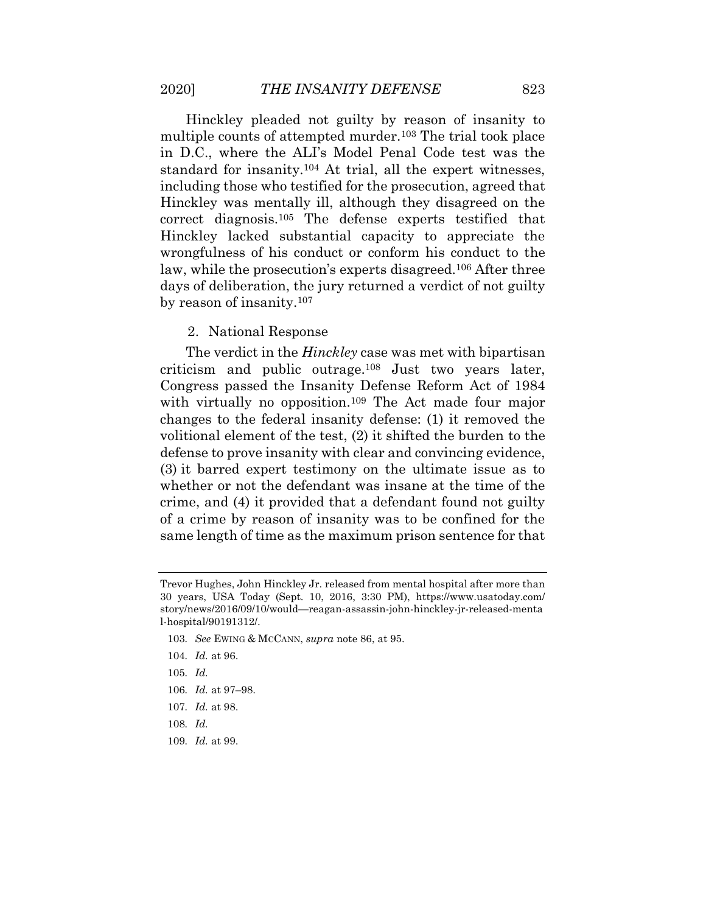Hinckley pleaded not guilty by reason of insanity to multiple counts of attempted murder.<sup>103</sup> The trial took place in D.C., where the ALI's Model Penal Code test was the standard for insanity.<sup>104</sup> At trial, all the expert witnesses, including those who testified for the prosecution, agreed that Hinckley was mentally ill, although they disagreed on the correct diagnosis.<sup>105</sup> The defense experts testified that Hinckley lacked substantial capacity to appreciate the wrongfulness of his conduct or conform his conduct to the law, while the prosecution's experts disagreed.<sup>106</sup> After three days of deliberation, the jury returned a verdict of not guilty by reason of insanity.<sup>107</sup>

#### 2. National Response

The verdict in the *Hinckley* case was met with bipartisan criticism and public outrage.<sup>108</sup> Just two years later, Congress passed the Insanity Defense Reform Act of 1984 with virtually no opposition.<sup>109</sup> The Act made four major changes to the federal insanity defense: (1) it removed the volitional element of the test, (2) it shifted the burden to the defense to prove insanity with clear and convincing evidence, (3) it barred expert testimony on the ultimate issue as to whether or not the defendant was insane at the time of the crime, and (4) it provided that a defendant found not guilty of a crime by reason of insanity was to be confined for the same length of time as the maximum prison sentence for that

- 106*. Id.* at 97–98.
- 107*. Id.* at 98.
- 108*. Id.*
- 109*. Id.* at 99.

Trevor Hughes, John Hinckley Jr. released from mental hospital after more than 30 years, USA Today (Sept. 10, 2016, 3:30 PM), https://www.usatoday.com/ story/news/2016/09/10/would—reagan-assassin-john-hinckley-jr-released-menta l-hospital/90191312/.

<sup>103</sup>*. See* EWING & MCCANN, *supra* note 86, at 95.

<sup>104</sup>*. Id.* at 96.

<sup>105</sup>*. Id.*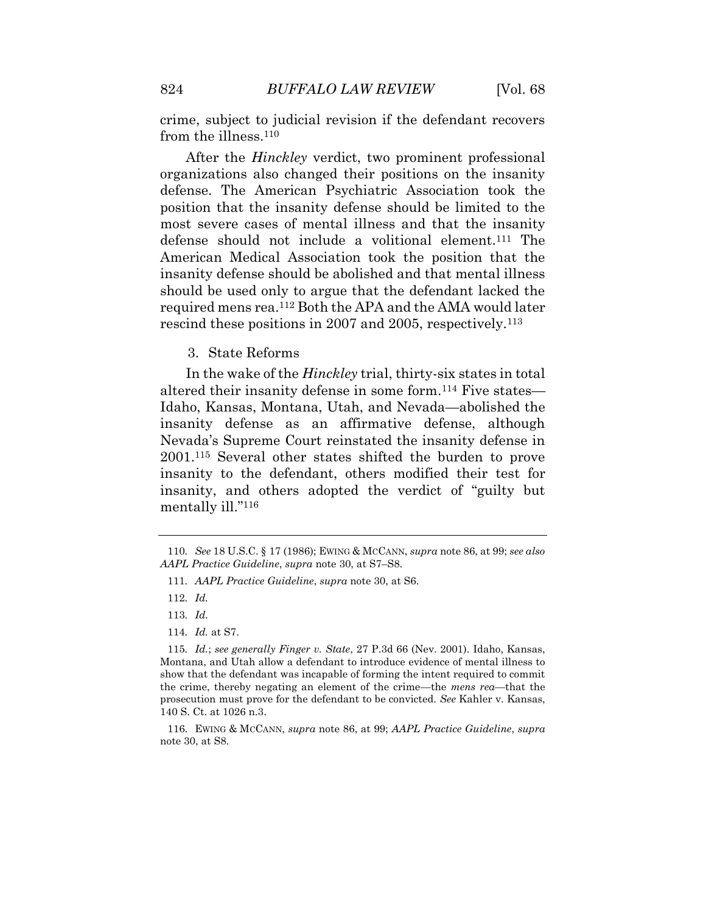crime, subject to judicial revision if the defendant recovers from the illness.<sup>110</sup>

After the *Hinckley* verdict, two prominent professional organizations also changed their positions on the insanity defense. The American Psychiatric Association took the position that the insanity defense should be limited to the most severe cases of mental illness and that the insanity defense should not include a volitional element.<sup>111</sup> The American Medical Association took the position that the insanity defense should be abolished and that mental illness should be used only to argue that the defendant lacked the required mens rea.<sup>112</sup> Both the APA and the AMA would later rescind these positions in 2007 and 2005, respectively.<sup>113</sup>

3. State Reforms

In the wake of the *Hinckley* trial, thirty-six states in total altered their insanity defense in some form.<sup>114</sup> Five states— Idaho, Kansas, Montana, Utah, and Nevada—abolished the insanity defense as an affirmative defense, although Nevada's Supreme Court reinstated the insanity defense in 2001.<sup>115</sup> Several other states shifted the burden to prove insanity to the defendant, others modified their test for insanity, and others adopted the verdict of "guilty but mentally ill."<sup>116</sup>

- 113*. Id.*
- 114*. Id.* at S7.

<sup>110</sup>*. See* 18 U.S.C. § 17 (1986); EWING & MCCANN, *supra* note 86, at 99; *see also AAPL Practice Guideline*, *supra* note 30, at S7–S8.

<sup>111</sup>*. AAPL Practice Guideline*, *supra* note 30, at S6.

<sup>112</sup>*. Id.*

<sup>115</sup>*. Id.*; *see generally Finger v. State*, 27 P.3d 66 (Nev. 2001). Idaho, Kansas, Montana, and Utah allow a defendant to introduce evidence of mental illness to show that the defendant was incapable of forming the intent required to commit the crime, thereby negating an element of the crime—the *mens rea*—that the prosecution must prove for the defendant to be convicted. *See* Kahler v. Kansas, 140 S. Ct. at 1026 n.3.

<sup>116.</sup> EWING & MCCANN, *supra* note 86, at 99; *AAPL Practice Guideline*, *supra* note 30, at S8.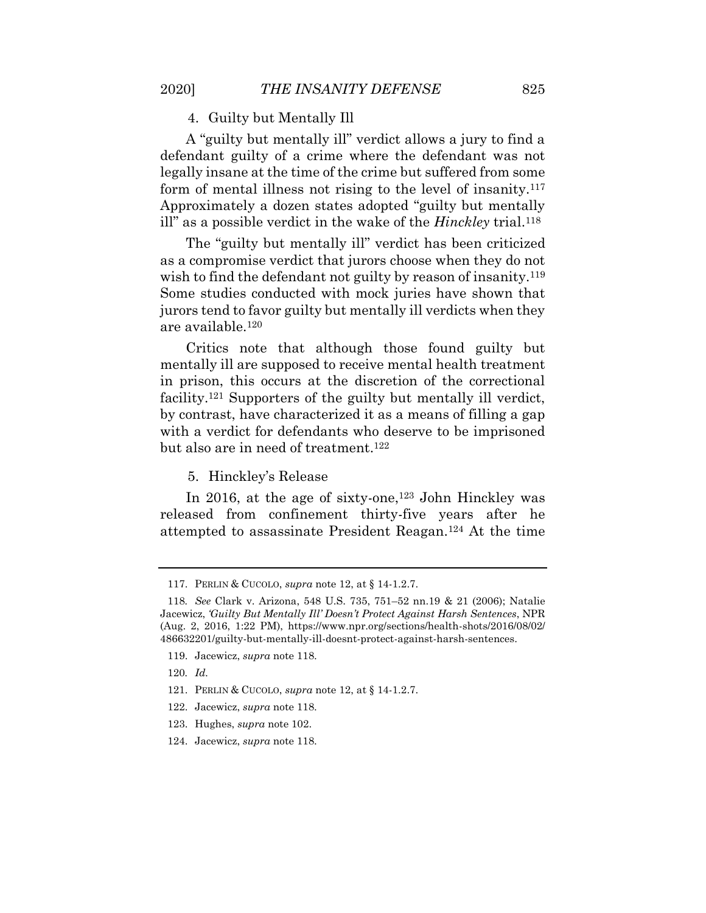#### 4. Guilty but Mentally Ill

A "guilty but mentally ill" verdict allows a jury to find a defendant guilty of a crime where the defendant was not legally insane at the time of the crime but suffered from some form of mental illness not rising to the level of insanity.<sup>117</sup> Approximately a dozen states adopted "guilty but mentally ill" as a possible verdict in the wake of the *Hinckley* trial.<sup>118</sup>

The "guilty but mentally ill" verdict has been criticized as a compromise verdict that jurors choose when they do not wish to find the defendant not guilty by reason of insanity.<sup>119</sup> Some studies conducted with mock juries have shown that jurors tend to favor guilty but mentally ill verdicts when they are available.<sup>120</sup>

Critics note that although those found guilty but mentally ill are supposed to receive mental health treatment in prison, this occurs at the discretion of the correctional facility.<sup>121</sup> Supporters of the guilty but mentally ill verdict, by contrast, have characterized it as a means of filling a gap with a verdict for defendants who deserve to be imprisoned but also are in need of treatment.<sup>122</sup>

5. Hinckley's Release

In 2016, at the age of sixty-one,<sup>123</sup> John Hinckley was released from confinement thirty-five years after he attempted to assassinate President Reagan.<sup>124</sup> At the time

<sup>117.</sup> PERLIN & CUCOLO, *supra* note 12, at § 14-1.2.7.

<sup>118</sup>*. See* Clark v. Arizona, 548 U.S. 735, 751–52 nn.19 & 21 (2006); Natalie Jacewicz, *'Guilty But Mentally Ill' Doesn't Protect Against Harsh Sentences*, NPR (Aug. 2, 2016, 1:22 PM), https://www.npr.org/sections/health-shots/2016/08/02/ 486632201/guilty-but-mentally-ill-doesnt-protect-against-harsh-sentences.

<sup>119.</sup> Jacewicz, *supra* note 118.

<sup>120</sup>*. Id.*

<sup>121.</sup> PERLIN & CUCOLO, *supra* note 12, at § 14-1.2.7.

<sup>122.</sup> Jacewicz, *supra* note 118.

<sup>123.</sup> Hughes, *supra* note 102.

<sup>124.</sup> Jacewicz, *supra* note 118.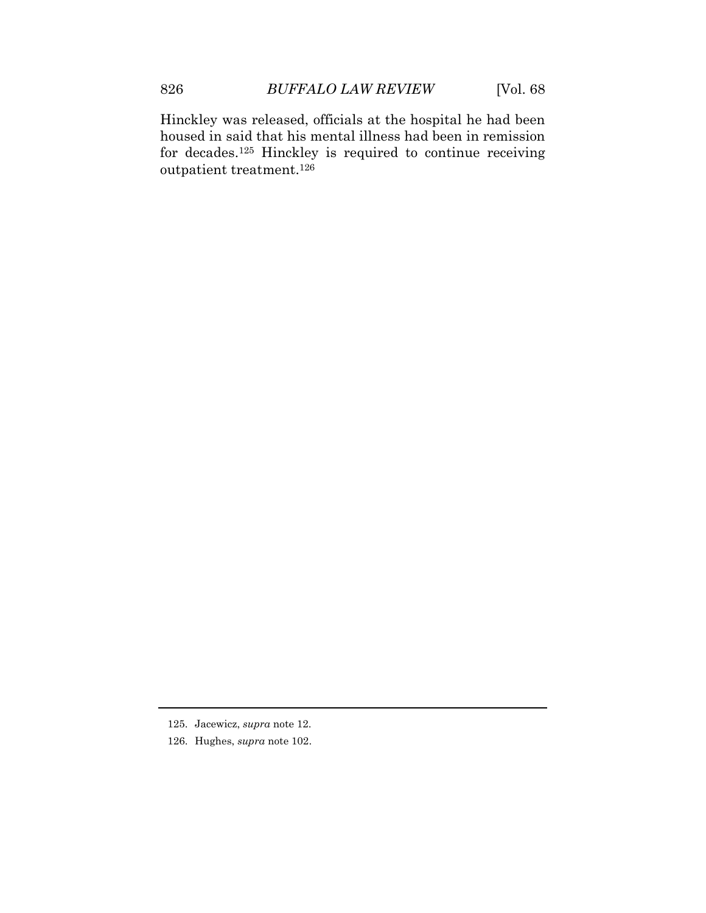Hinckley was released, officials at the hospital he had been housed in said that his mental illness had been in remission for decades.<sup>125</sup> Hinckley is required to continue receiving outpatient treatment.<sup>126</sup>

<sup>125.</sup> Jacewicz, *supra* note 12.

<sup>126.</sup> Hughes, *supra* note 102.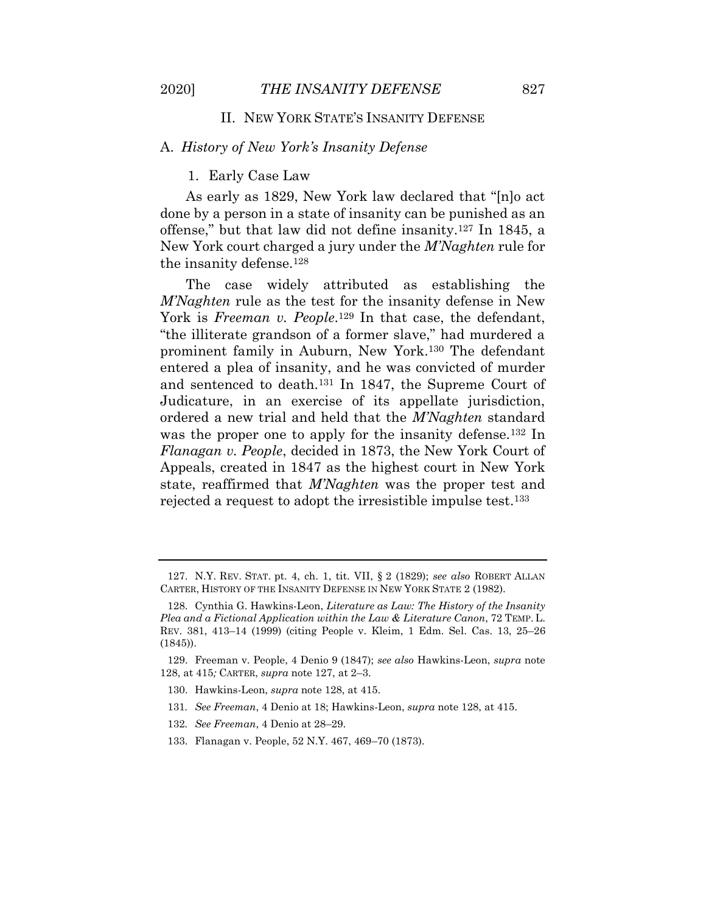#### II. NEW YORK STATE'S INSANITY DEFENSE

#### A. *History of New York's Insanity Defense*

1. Early Case Law

As early as 1829, New York law declared that "[n]o act done by a person in a state of insanity can be punished as an offense," but that law did not define insanity.<sup>127</sup> In 1845, a New York court charged a jury under the *M'Naghten* rule for the insanity defense.<sup>128</sup>

The case widely attributed as establishing the *M'Naghten* rule as the test for the insanity defense in New York is *Freeman v. People*.<sup>129</sup> In that case, the defendant, "the illiterate grandson of a former slave," had murdered a prominent family in Auburn, New York.<sup>130</sup> The defendant entered a plea of insanity, and he was convicted of murder and sentenced to death.<sup>131</sup> In 1847, the Supreme Court of Judicature, in an exercise of its appellate jurisdiction, ordered a new trial and held that the *M'Naghten* standard was the proper one to apply for the insanity defense.<sup>132</sup> In *Flanagan v. People*, decided in 1873, the New York Court of Appeals, created in 1847 as the highest court in New York state, reaffirmed that *M'Naghten* was the proper test and rejected a request to adopt the irresistible impulse test.<sup>133</sup>

- 131*. See Freeman*, 4 Denio at 18; Hawkins-Leon, *supra* note 128, at 415.
- 132*. See Freeman*, 4 Denio at 28–29.
- 133. Flanagan v. People, 52 N.Y. 467, 469–70 (1873).

<sup>127.</sup> N.Y. REV. STAT. pt. 4, ch. 1, tit. VII, § 2 (1829); *see also* ROBERT ALLAN CARTER, HISTORY OF THE INSANITY DEFENSE IN NEW YORK STATE 2 (1982).

<sup>128.</sup> Cynthia G. Hawkins-Leon, *Literature as Law: The History of the Insanity Plea and a Fictional Application within the Law & Literature Canon*, 72 TEMP. L. REV. 381, 413–14 (1999) (citing People v. Kleim, 1 Edm. Sel. Cas. 13, 25–26 (1845)).

<sup>129.</sup> Freeman v. People, 4 Denio 9 (1847); *see also* Hawkins-Leon, *supra* note 128, at 415*;* CARTER, *supra* note 127, at 2–3.

<sup>130.</sup> Hawkins-Leon, *supra* note 128, at 415.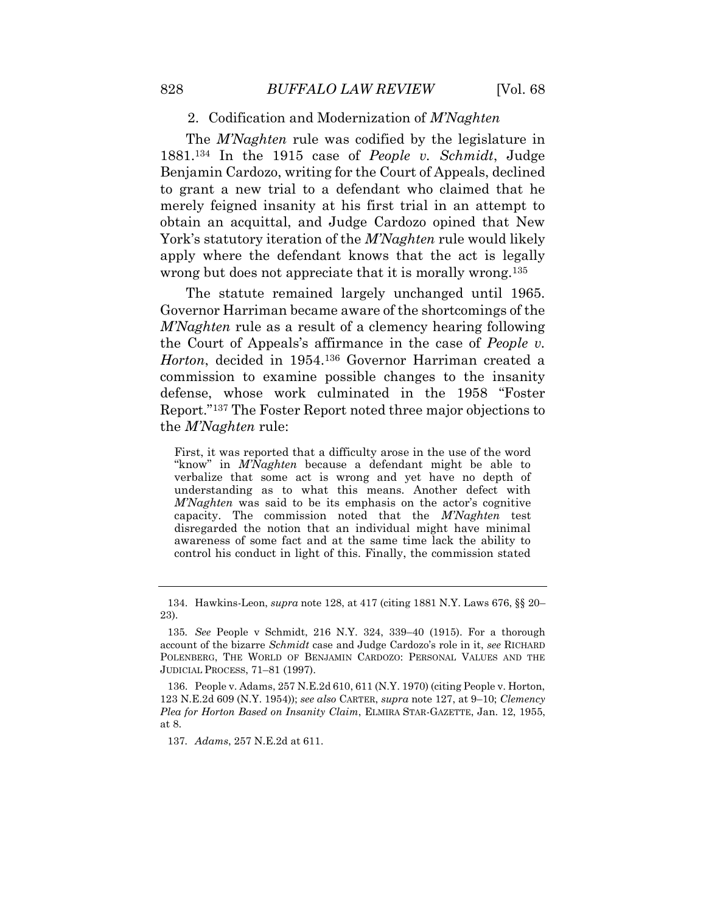#### 2. Codification and Modernization of *M'Naghten*

The *M'Naghten* rule was codified by the legislature in 1881.<sup>134</sup> In the 1915 case of *People v. Schmidt*, Judge Benjamin Cardozo, writing for the Court of Appeals, declined to grant a new trial to a defendant who claimed that he merely feigned insanity at his first trial in an attempt to obtain an acquittal, and Judge Cardozo opined that New York's statutory iteration of the *M'Naghten* rule would likely apply where the defendant knows that the act is legally wrong but does not appreciate that it is morally wrong.<sup>135</sup>

The statute remained largely unchanged until 1965. Governor Harriman became aware of the shortcomings of the *M'Naghten* rule as a result of a clemency hearing following the Court of Appeals's affirmance in the case of *People v. Horton*, decided in 1954.<sup>136</sup> Governor Harriman created a commission to examine possible changes to the insanity defense, whose work culminated in the 1958 "Foster Report."<sup>137</sup> The Foster Report noted three major objections to the *M'Naghten* rule:

First, it was reported that a difficulty arose in the use of the word "know" in *M'Naghten* because a defendant might be able to verbalize that some act is wrong and yet have no depth of understanding as to what this means. Another defect with *M'Naghten* was said to be its emphasis on the actor's cognitive capacity. The commission noted that the *M'Naghten* test disregarded the notion that an individual might have minimal awareness of some fact and at the same time lack the ability to control his conduct in light of this. Finally, the commission stated

136. People v. Adams, 257 N.E.2d 610, 611 (N.Y. 1970) (citing People v. Horton, 123 N.E.2d 609 (N.Y. 1954)); *see also* CARTER, *supra* note 127, at 9–10; *Clemency Plea for Horton Based on Insanity Claim*, ELMIRA STAR-GAZETTE, Jan. 12, 1955, at 8.

137*. Adams*, 257 N.E.2d at 611.

<sup>134.</sup> Hawkins-Leon, *supra* note 128, at 417 (citing 1881 N.Y. Laws 676, §§ 20– 23).

<sup>135</sup>*. See* People v Schmidt, 216 N.Y. 324, 339–40 (1915). For a thorough account of the bizarre *Schmidt* case and Judge Cardozo's role in it, *see* RICHARD POLENBERG, THE WORLD OF BENJAMIN CARDOZO: PERSONAL VALUES AND THE JUDICIAL PROCESS, 71–81 (1997).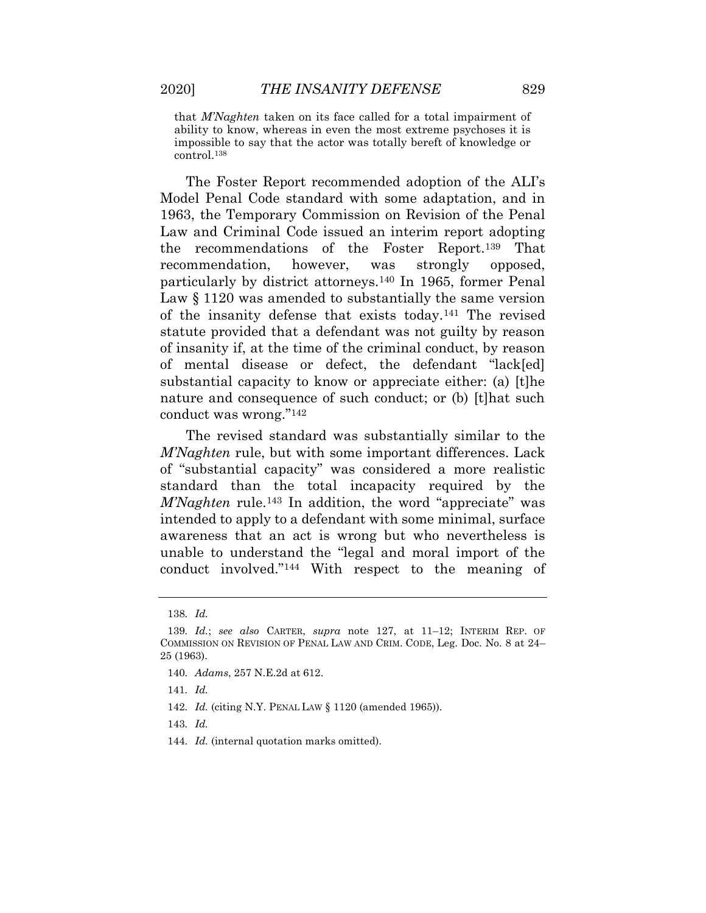that *M'Naghten* taken on its face called for a total impairment of ability to know, whereas in even the most extreme psychoses it is impossible to say that the actor was totally bereft of knowledge or control.<sup>138</sup>

The Foster Report recommended adoption of the ALI's Model Penal Code standard with some adaptation, and in 1963, the Temporary Commission on Revision of the Penal Law and Criminal Code issued an interim report adopting the recommendations of the Foster Report.<sup>139</sup> That recommendation, however, was strongly opposed, particularly by district attorneys.<sup>140</sup> In 1965, former Penal Law § 1120 was amended to substantially the same version of the insanity defense that exists today.<sup>141</sup> The revised statute provided that a defendant was not guilty by reason of insanity if, at the time of the criminal conduct, by reason of mental disease or defect, the defendant "lack[ed] substantial capacity to know or appreciate either: (a) [t]he nature and consequence of such conduct; or (b) [t]hat such conduct was wrong."<sup>142</sup>

The revised standard was substantially similar to the *M'Naghten* rule, but with some important differences. Lack of "substantial capacity" was considered a more realistic standard than the total incapacity required by the *M'Naghten* rule.<sup>143</sup> In addition, the word "appreciate" was intended to apply to a defendant with some minimal, surface awareness that an act is wrong but who nevertheless is unable to understand the "legal and moral import of the conduct involved."<sup>144</sup> With respect to the meaning of

140*. Adams*, 257 N.E.2d at 612.

142*. Id.* (citing N.Y. PENAL LAW § 1120 (amended 1965)).

144*. Id.* (internal quotation marks omitted).

<sup>138</sup>*. Id.*

<sup>139</sup>*. Id.*; *see also* CARTER, *supra* note 127, at 11–12; INTERIM REP. OF COMMISSION ON REVISION OF PENAL LAW AND CRIM. CODE, Leg. Doc. No. 8 at 24– 25 (1963).

<sup>141</sup>*. Id.*

<sup>143</sup>*. Id.*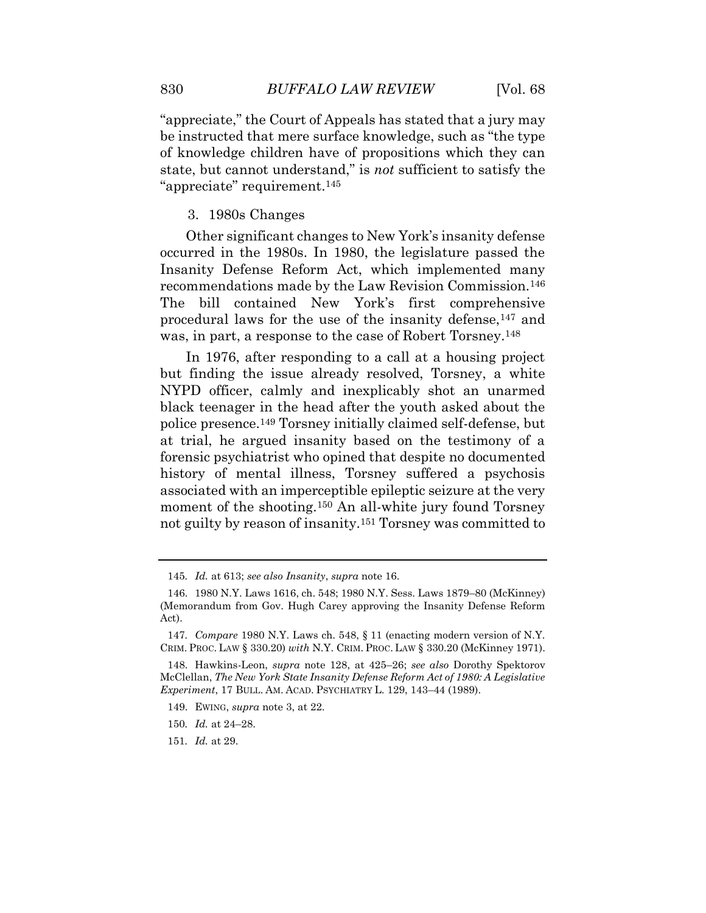"appreciate," the Court of Appeals has stated that a jury may be instructed that mere surface knowledge, such as "the type of knowledge children have of propositions which they can state, but cannot understand," is *not* sufficient to satisfy the "appreciate" requirement.<sup>145</sup>

#### 3. 1980s Changes

Other significant changes to New York's insanity defense occurred in the 1980s. In 1980, the legislature passed the Insanity Defense Reform Act, which implemented many recommendations made by the Law Revision Commission.<sup>146</sup> The bill contained New York's first comprehensive procedural laws for the use of the insanity defense,<sup>147</sup> and was, in part, a response to the case of Robert Torsney.<sup>148</sup>

In 1976, after responding to a call at a housing project but finding the issue already resolved, Torsney, a white NYPD officer, calmly and inexplicably shot an unarmed black teenager in the head after the youth asked about the police presence.<sup>149</sup> Torsney initially claimed self-defense, but at trial, he argued insanity based on the testimony of a forensic psychiatrist who opined that despite no documented history of mental illness, Torsney suffered a psychosis associated with an imperceptible epileptic seizure at the very moment of the shooting.<sup>150</sup> An all-white jury found Torsney not guilty by reason of insanity.<sup>151</sup> Torsney was committed to

<sup>145</sup>*. Id.* at 613; *see also Insanity*, *supra* note 16.

<sup>146.</sup> 1980 N.Y. Laws 1616, ch. 548; 1980 N.Y. Sess. Laws 1879–80 (McKinney) (Memorandum from Gov. Hugh Carey approving the Insanity Defense Reform Act).

<sup>147</sup>*. Compare* 1980 N.Y. Laws ch. 548, § 11 (enacting modern version of N.Y. CRIM. PROC. LAW § 330.20) *with* N.Y. CRIM. PROC. LAW § 330.20 (McKinney 1971).

<sup>148.</sup> Hawkins-Leon, *supra* note 128, at 425–26; *see also* Dorothy Spektorov McClellan, *The New York State Insanity Defense Reform Act of 1980: A Legislative Experiment*, 17 BULL. AM. ACAD. PSYCHIATRY L. 129, 143–44 (1989).

<sup>149.</sup> EWING, *supra* note 3, at 22.

<sup>150</sup>*. Id.* at 24–28.

<sup>151</sup>*. Id.* at 29.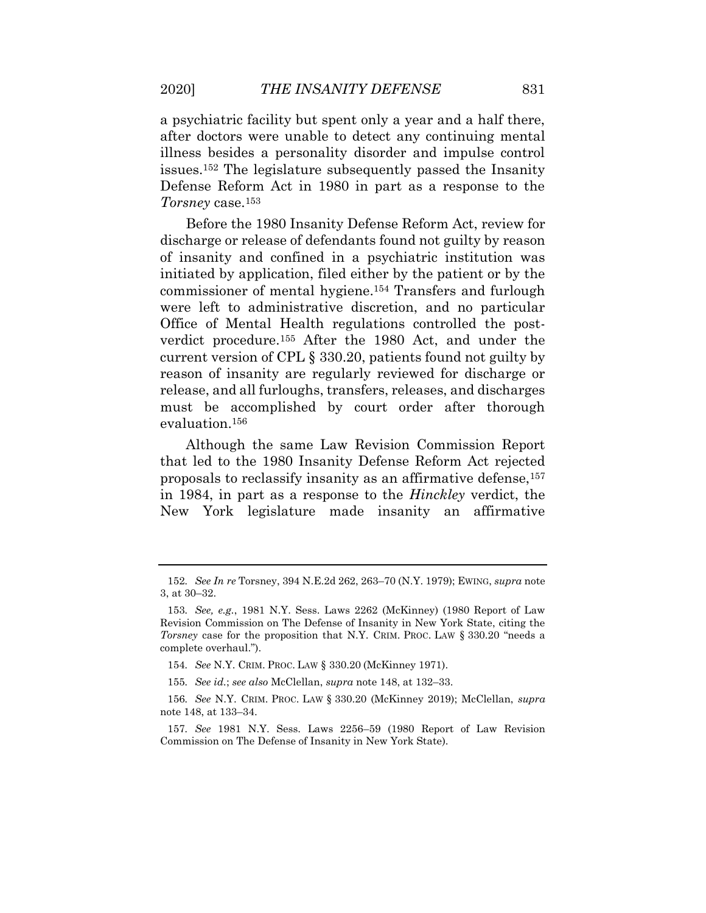a psychiatric facility but spent only a year and a half there, after doctors were unable to detect any continuing mental illness besides a personality disorder and impulse control issues.<sup>152</sup> The legislature subsequently passed the Insanity Defense Reform Act in 1980 in part as a response to the *Torsney* case.<sup>153</sup>

Before the 1980 Insanity Defense Reform Act, review for discharge or release of defendants found not guilty by reason of insanity and confined in a psychiatric institution was initiated by application, filed either by the patient or by the commissioner of mental hygiene.<sup>154</sup> Transfers and furlough were left to administrative discretion, and no particular Office of Mental Health regulations controlled the postverdict procedure.<sup>155</sup> After the 1980 Act, and under the current version of CPL § 330.20, patients found not guilty by reason of insanity are regularly reviewed for discharge or release, and all furloughs, transfers, releases, and discharges must be accomplished by court order after thorough evaluation.<sup>156</sup>

Although the same Law Revision Commission Report that led to the 1980 Insanity Defense Reform Act rejected proposals to reclassify insanity as an affirmative defense,<sup>157</sup> in 1984, in part as a response to the *Hinckley* verdict, the New York legislature made insanity an affirmative

<sup>152</sup>*. See In re* Torsney, 394 N.E.2d 262, 263–70 (N.Y. 1979); EWING, *supra* note 3, at 30–32.

<sup>153</sup>*. See, e.g.*, 1981 N.Y. Sess. Laws 2262 (McKinney) (1980 Report of Law Revision Commission on The Defense of Insanity in New York State, citing the *Torsney* case for the proposition that N.Y. CRIM. PROC. LAW § 330.20 "needs a complete overhaul.").

<sup>154</sup>*. See* N.Y. CRIM. PROC. LAW § 330.20 (McKinney 1971).

<sup>155</sup>*. See id.*; *see also* McClellan, *supra* note 148, at 132–33.

<sup>156</sup>*. See* N.Y. CRIM. PROC. LAW § 330.20 (McKinney 2019); McClellan, *supra* note 148, at 133–34.

<sup>157</sup>*. See* 1981 N.Y. Sess. Laws 2256–59 (1980 Report of Law Revision Commission on The Defense of Insanity in New York State).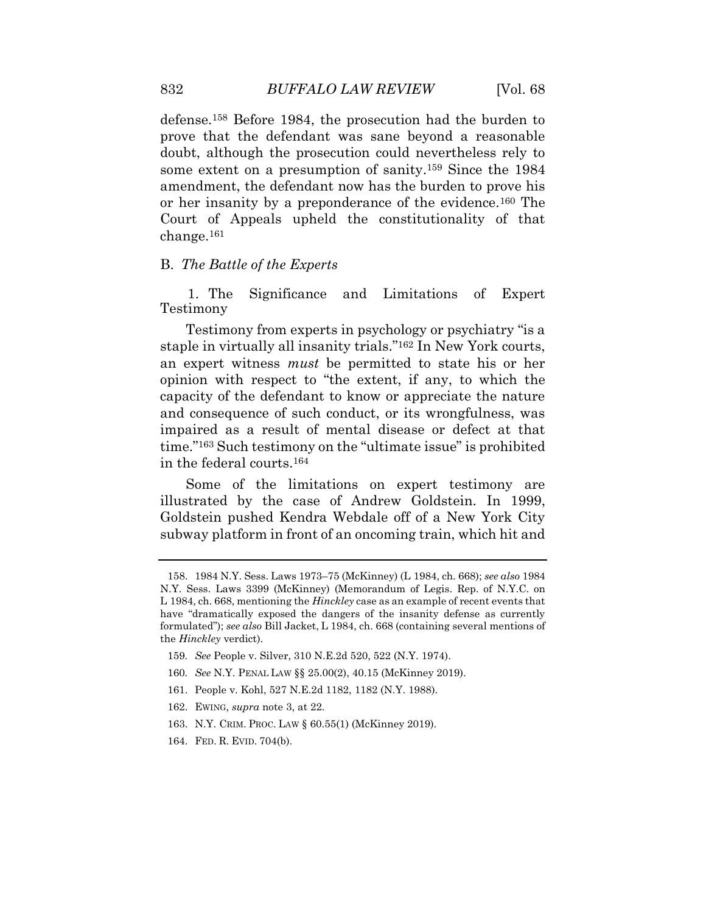defense.<sup>158</sup> Before 1984, the prosecution had the burden to prove that the defendant was sane beyond a reasonable doubt, although the prosecution could nevertheless rely to some extent on a presumption of sanity.<sup>159</sup> Since the 1984 amendment, the defendant now has the burden to prove his or her insanity by a preponderance of the evidence.<sup>160</sup> The Court of Appeals upheld the constitutionality of that change.<sup>161</sup>

#### B. *The Battle of the Experts*

1. The Significance and Limitations of Expert Testimony

Testimony from experts in psychology or psychiatry "is a staple in virtually all insanity trials."<sup>162</sup> In New York courts, an expert witness *must* be permitted to state his or her opinion with respect to "the extent, if any, to which the capacity of the defendant to know or appreciate the nature and consequence of such conduct, or its wrongfulness, was impaired as a result of mental disease or defect at that time."<sup>163</sup> Such testimony on the "ultimate issue" is prohibited in the federal courts.<sup>164</sup>

Some of the limitations on expert testimony are illustrated by the case of Andrew Goldstein. In 1999, Goldstein pushed Kendra Webdale off of a New York City subway platform in front of an oncoming train, which hit and

- 163. N.Y. CRIM. PROC. LAW § 60.55(1) (McKinney 2019).
- 164. FED. R. EVID. 704(b).

<sup>158.</sup> 1984 N.Y. Sess. Laws 1973–75 (McKinney) (L 1984, ch. 668); *see also* 1984 N.Y. Sess. Laws 3399 (McKinney) (Memorandum of Legis. Rep. of N.Y.C. on L 1984, ch. 668, mentioning the *Hinckley* case as an example of recent events that have "dramatically exposed the dangers of the insanity defense as currently formulated"); *see also* Bill Jacket, L 1984, ch. 668 (containing several mentions of the *Hinckley* verdict).

<sup>159</sup>*. See* People v. Silver, 310 N.E.2d 520, 522 (N.Y. 1974).

<sup>160</sup>*. See* N.Y. PENAL LAW §§ 25.00(2), 40.15 (McKinney 2019).

<sup>161.</sup> People v. Kohl, 527 N.E.2d 1182, 1182 (N.Y. 1988).

<sup>162.</sup> EWING, *supra* note 3, at 22.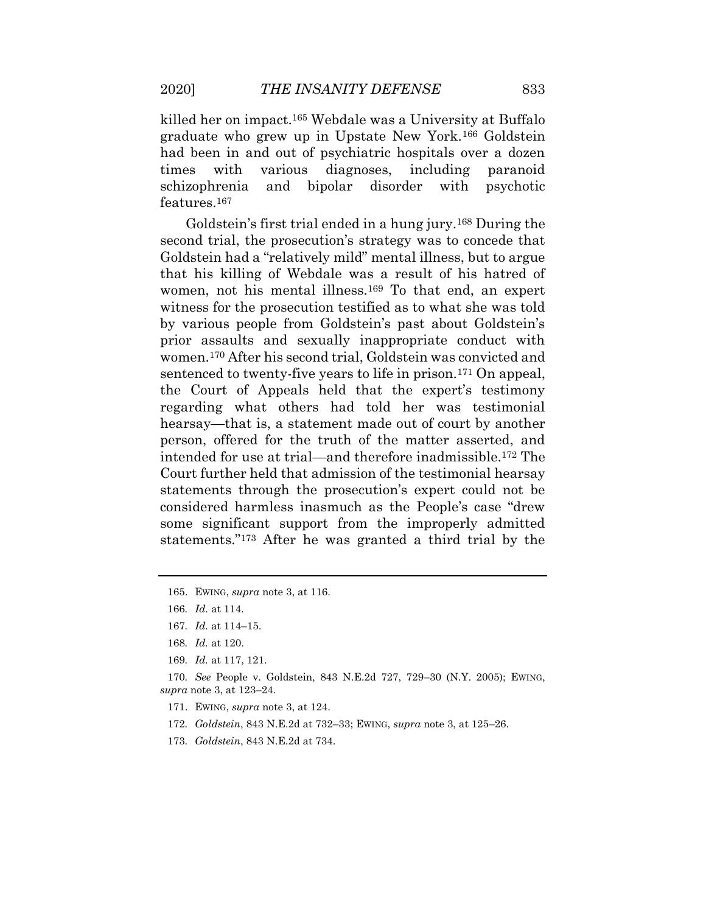killed her on impact.<sup>165</sup> Webdale was a University at Buffalo graduate who grew up in Upstate New York.<sup>166</sup> Goldstein had been in and out of psychiatric hospitals over a dozen times with various diagnoses, including paranoid schizophrenia and bipolar disorder with psychotic features.<sup>167</sup>

Goldstein's first trial ended in a hung jury.<sup>168</sup> During the second trial, the prosecution's strategy was to concede that Goldstein had a "relatively mild" mental illness, but to argue that his killing of Webdale was a result of his hatred of women, not his mental illness.<sup>169</sup> To that end, an expert witness for the prosecution testified as to what she was told by various people from Goldstein's past about Goldstein's prior assaults and sexually inappropriate conduct with women.<sup>170</sup> After his second trial, Goldstein was convicted and sentenced to twenty-five years to life in prison.<sup>171</sup> On appeal, the Court of Appeals held that the expert's testimony regarding what others had told her was testimonial hearsay—that is, a statement made out of court by another person, offered for the truth of the matter asserted, and intended for use at trial—and therefore inadmissible.<sup>172</sup> The Court further held that admission of the testimonial hearsay statements through the prosecution's expert could not be considered harmless inasmuch as the People's case "drew some significant support from the improperly admitted statements."<sup>173</sup> After he was granted a third trial by the

- 172*. Goldstein*, 843 N.E.2d at 732–33; EWING, *supra* note 3, at 125–26.
- 173*. Goldstein*, 843 N.E.2d at 734.

<sup>165.</sup> EWING, *supra* note 3, at 116.

<sup>166</sup>*. Id.* at 114.

<sup>167</sup>*. Id.* at 114–15.

<sup>168</sup>*. Id.* at 120.

<sup>169</sup>*. Id.* at 117, 121.

<sup>170</sup>*. See* People v. Goldstein, 843 N.E.2d 727, 729–30 (N.Y. 2005); EWING, *supra* note 3, at 123–24.

<sup>171.</sup> EWING, *supra* note 3, at 124.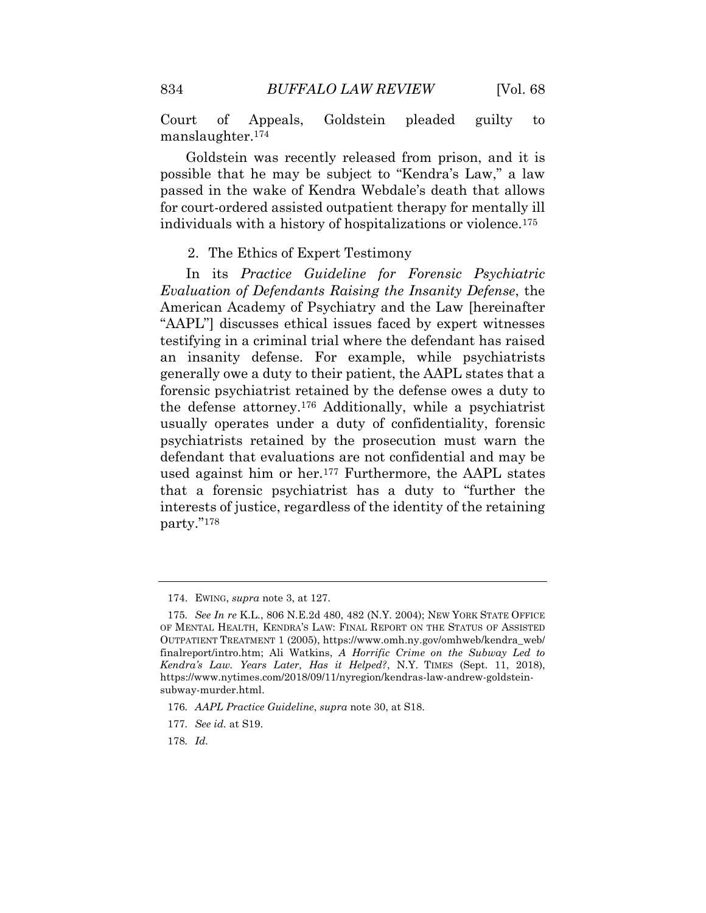Court of Appeals, Goldstein pleaded guilty to manslaughter.<sup>174</sup>

Goldstein was recently released from prison, and it is possible that he may be subject to "Kendra's Law," a law passed in the wake of Kendra Webdale's death that allows for court-ordered assisted outpatient therapy for mentally ill individuals with a history of hospitalizations or violence.<sup>175</sup>

#### 2. The Ethics of Expert Testimony

In its *Practice Guideline for Forensic Psychiatric Evaluation of Defendants Raising the Insanity Defense*, the American Academy of Psychiatry and the Law [hereinafter "AAPL"] discusses ethical issues faced by expert witnesses testifying in a criminal trial where the defendant has raised an insanity defense. For example, while psychiatrists generally owe a duty to their patient, the AAPL states that a forensic psychiatrist retained by the defense owes a duty to the defense attorney.<sup>176</sup> Additionally, while a psychiatrist usually operates under a duty of confidentiality, forensic psychiatrists retained by the prosecution must warn the defendant that evaluations are not confidential and may be used against him or her.<sup>177</sup> Furthermore, the AAPL states that a forensic psychiatrist has a duty to "further the interests of justice, regardless of the identity of the retaining party."<sup>178</sup>

<sup>174.</sup> EWING, *supra* note 3, at 127.

<sup>175</sup>*. See In re* K.L., 806 N.E.2d 480, 482 (N.Y. 2004); NEW YORK STATE OFFICE OF MENTAL HEALTH, KENDRA'S LAW: FINAL REPORT ON THE STATUS OF ASSISTED OUTPATIENT TREATMENT 1 (2005), https://www.omh.ny.gov/omhweb/kendra\_web/ finalreport/intro.htm; Ali Watkins, *A Horrific Crime on the Subway Led to Kendra's Law. Years Later, Has it Helped?*, N.Y. TIMES (Sept. 11, 2018), https://www.nytimes.com/2018/09/11/nyregion/kendras-law-andrew-goldsteinsubway-murder.html.

<sup>176</sup>*. AAPL Practice Guideline*, *supra* note 30, at S18.

<sup>177</sup>*. See id.* at S19.

<sup>178</sup>*. Id.*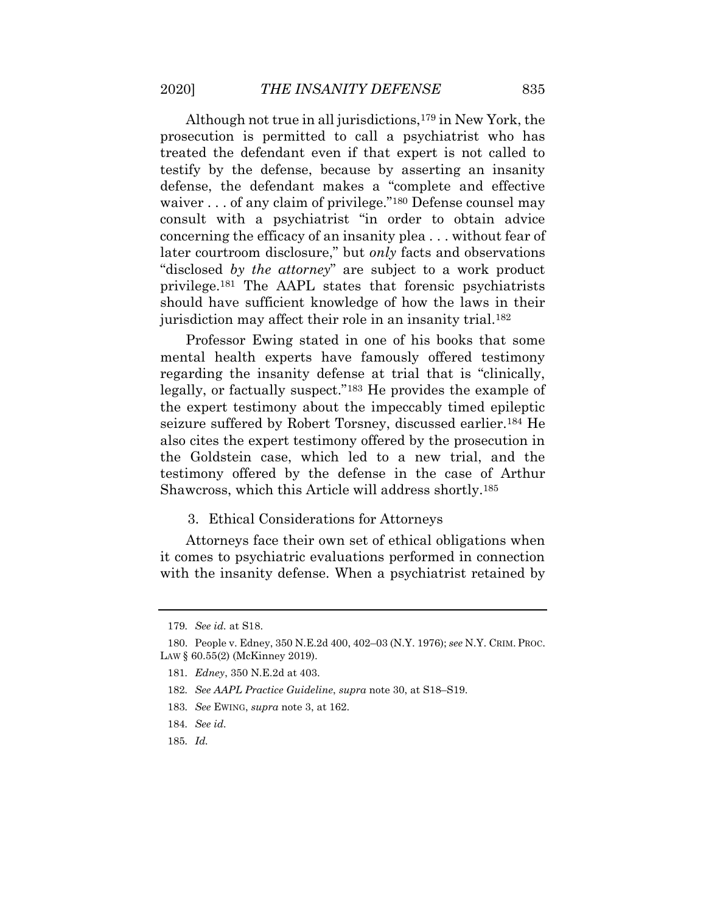Although not true in all jurisdictions,<sup>179</sup> in New York, the prosecution is permitted to call a psychiatrist who has treated the defendant even if that expert is not called to testify by the defense, because by asserting an insanity defense, the defendant makes a "complete and effective waiver . . . of any claim of privilege."<sup>180</sup> Defense counsel may consult with a psychiatrist "in order to obtain advice concerning the efficacy of an insanity plea . . . without fear of later courtroom disclosure," but *only* facts and observations "disclosed *by the attorney*" are subject to a work product privilege.<sup>181</sup> The AAPL states that forensic psychiatrists should have sufficient knowledge of how the laws in their jurisdiction may affect their role in an insanity trial.<sup>182</sup>

Professor Ewing stated in one of his books that some mental health experts have famously offered testimony regarding the insanity defense at trial that is "clinically, legally, or factually suspect."<sup>183</sup> He provides the example of the expert testimony about the impeccably timed epileptic seizure suffered by Robert Torsney, discussed earlier.<sup>184</sup> He also cites the expert testimony offered by the prosecution in the Goldstein case, which led to a new trial, and the testimony offered by the defense in the case of Arthur Shawcross, which this Article will address shortly.<sup>185</sup>

#### 3. Ethical Considerations for Attorneys

Attorneys face their own set of ethical obligations when it comes to psychiatric evaluations performed in connection with the insanity defense. When a psychiatrist retained by

<sup>179</sup>*. See id.* at S18.

<sup>180.</sup> People v. Edney, 350 N.E.2d 400, 402–03 (N.Y. 1976); *see* N.Y. CRIM. PROC. LAW § 60.55(2) (McKinney 2019).

<sup>181</sup>*. Edney*, 350 N.E.2d at 403.

<sup>182</sup>*. See AAPL Practice Guideline*, *supra* note 30, at S18–S19.

<sup>183</sup>*. See* EWING, *supra* note 3, at 162.

<sup>184</sup>*. See id.*

<sup>185</sup>*. Id.*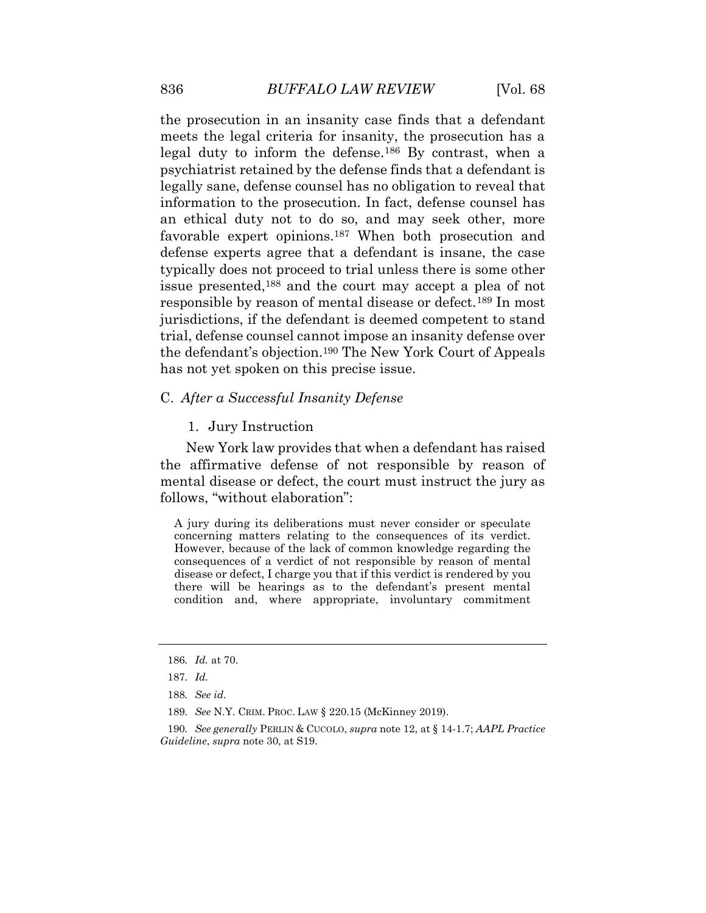the prosecution in an insanity case finds that a defendant meets the legal criteria for insanity, the prosecution has a legal duty to inform the defense.<sup>186</sup> By contrast, when a psychiatrist retained by the defense finds that a defendant is legally sane, defense counsel has no obligation to reveal that information to the prosecution. In fact, defense counsel has an ethical duty not to do so, and may seek other, more favorable expert opinions.<sup>187</sup> When both prosecution and defense experts agree that a defendant is insane, the case typically does not proceed to trial unless there is some other issue presented,<sup>188</sup> and the court may accept a plea of not responsible by reason of mental disease or defect.<sup>189</sup> In most jurisdictions, if the defendant is deemed competent to stand trial, defense counsel cannot impose an insanity defense over the defendant's objection.<sup>190</sup> The New York Court of Appeals has not yet spoken on this precise issue.

#### C. *After a Successful Insanity Defense*

#### 1. Jury Instruction

New York law provides that when a defendant has raised the affirmative defense of not responsible by reason of mental disease or defect, the court must instruct the jury as follows, "without elaboration":

A jury during its deliberations must never consider or speculate concerning matters relating to the consequences of its verdict. However, because of the lack of common knowledge regarding the consequences of a verdict of not responsible by reason of mental disease or defect, I charge you that if this verdict is rendered by you there will be hearings as to the defendant's present mental condition and, where appropriate, involuntary commitment

<sup>186</sup>*. Id.* at 70.

<sup>187</sup>*. Id.*

<sup>188</sup>*. See id.*

<sup>189</sup>*. See* N.Y. CRIM. PROC. LAW § 220.15 (McKinney 2019).

<sup>190</sup>*. See generally* PERLIN & CUCOLO, *supra* note 12, at § 14-1.7; *AAPL Practice Guideline*, *supra* note 30, at S19.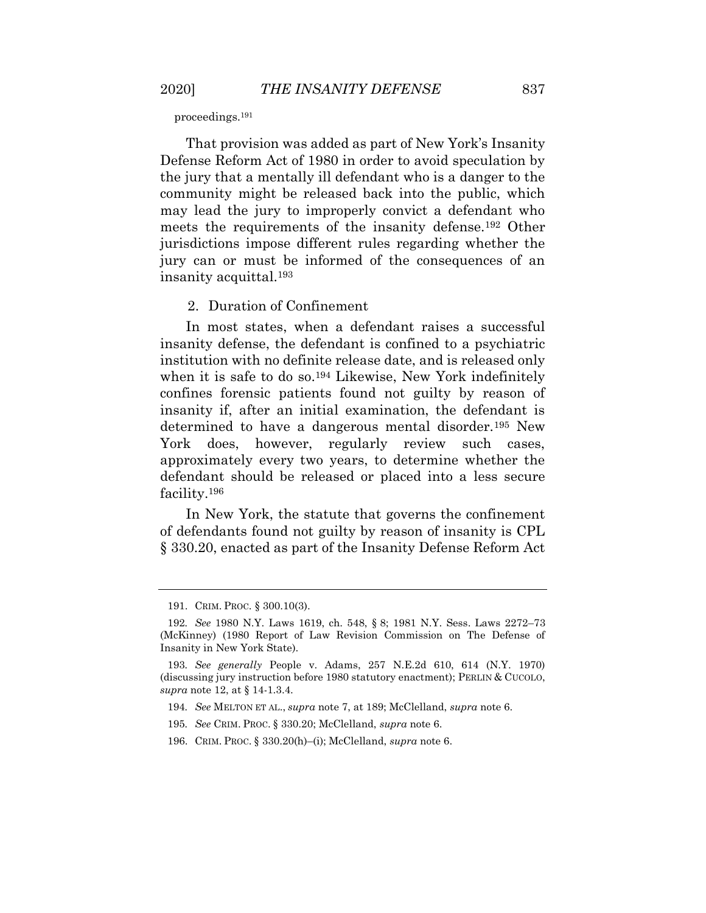#### proceedings.<sup>191</sup>

That provision was added as part of New York's Insanity Defense Reform Act of 1980 in order to avoid speculation by the jury that a mentally ill defendant who is a danger to the community might be released back into the public, which may lead the jury to improperly convict a defendant who meets the requirements of the insanity defense.<sup>192</sup> Other jurisdictions impose different rules regarding whether the jury can or must be informed of the consequences of an insanity acquittal.<sup>193</sup>

#### 2. Duration of Confinement

In most states, when a defendant raises a successful insanity defense, the defendant is confined to a psychiatric institution with no definite release date, and is released only when it is safe to do so.<sup>194</sup> Likewise, New York indefinitely confines forensic patients found not guilty by reason of insanity if, after an initial examination, the defendant is determined to have a dangerous mental disorder.<sup>195</sup> New York does, however, regularly review such cases, approximately every two years, to determine whether the defendant should be released or placed into a less secure facility.<sup>196</sup>

In New York, the statute that governs the confinement of defendants found not guilty by reason of insanity is CPL § 330.20, enacted as part of the Insanity Defense Reform Act

<sup>191.</sup> CRIM. PROC. § 300.10(3).

<sup>192</sup>*. See* 1980 N.Y. Laws 1619, ch. 548, § 8; 1981 N.Y. Sess. Laws 2272–73 (McKinney) (1980 Report of Law Revision Commission on The Defense of Insanity in New York State).

<sup>193</sup>*. See generally* People v. Adams, 257 N.E.2d 610, 614 (N.Y. 1970) (discussing jury instruction before 1980 statutory enactment); PERLIN & CUCOLO, *supra* note 12, at § 14-1.3.4.

<sup>194</sup>*. See* MELTON ET AL., *supra* note 7, at 189; McClelland, *supra* note 6.

<sup>195</sup>*. See* CRIM. PROC. § 330.20; McClelland, *supra* note 6.

<sup>196.</sup> CRIM. PROC. § 330.20(h)–(i); McClelland, *supra* note 6.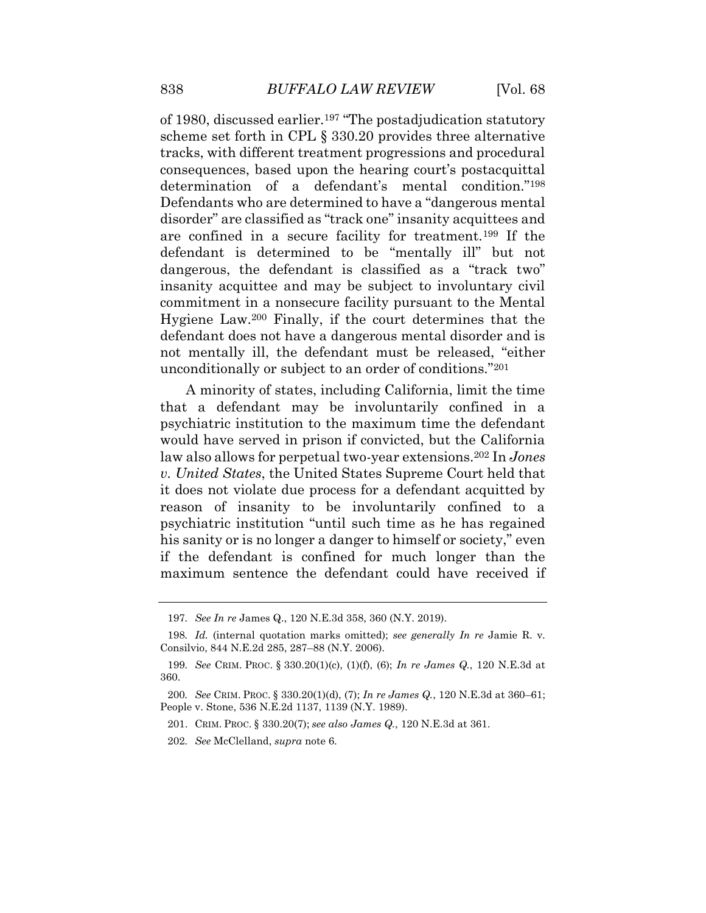of 1980, discussed earlier.<sup>197</sup> "The postadjudication statutory scheme set forth in CPL § 330.20 provides three alternative tracks, with different treatment progressions and procedural consequences, based upon the hearing court's postacquittal determination of a defendant's mental condition."<sup>198</sup> Defendants who are determined to have a "dangerous mental disorder" are classified as "track one" insanity acquittees and are confined in a secure facility for treatment.<sup>199</sup> If the defendant is determined to be "mentally ill" but not dangerous, the defendant is classified as a "track two" insanity acquittee and may be subject to involuntary civil commitment in a nonsecure facility pursuant to the Mental Hygiene Law.<sup>200</sup> Finally, if the court determines that the defendant does not have a dangerous mental disorder and is not mentally ill, the defendant must be released, "either unconditionally or subject to an order of conditions."<sup>201</sup>

A minority of states, including California, limit the time that a defendant may be involuntarily confined in a psychiatric institution to the maximum time the defendant would have served in prison if convicted, but the California law also allows for perpetual two-year extensions.<sup>202</sup> In *Jones v. United States*, the United States Supreme Court held that it does not violate due process for a defendant acquitted by reason of insanity to be involuntarily confined to a psychiatric institution "until such time as he has regained his sanity or is no longer a danger to himself or society," even if the defendant is confined for much longer than the maximum sentence the defendant could have received if

202*. See* McClelland, *supra* note 6.

<sup>197</sup>*. See In re* James Q., 120 N.E.3d 358, 360 (N.Y. 2019).

<sup>198</sup>*. Id.* (internal quotation marks omitted); *see generally In re* Jamie R. v. Consilvio, 844 N.E.2d 285, 287–88 (N.Y. 2006).

<sup>199</sup>*. See* CRIM. PROC. § 330.20(1)(c), (1)(f), (6); *In re James Q.*, 120 N.E.3d at 360.

<sup>200</sup>*. See* CRIM. PROC. § 330.20(1)(d), (7); *In re James Q.*, 120 N.E.3d at 360–61; People v. Stone, 536 N.E.2d 1137, 1139 (N.Y. 1989).

<sup>201.</sup> CRIM. PROC. § 330.20(7); *see also James Q.*, 120 N.E.3d at 361.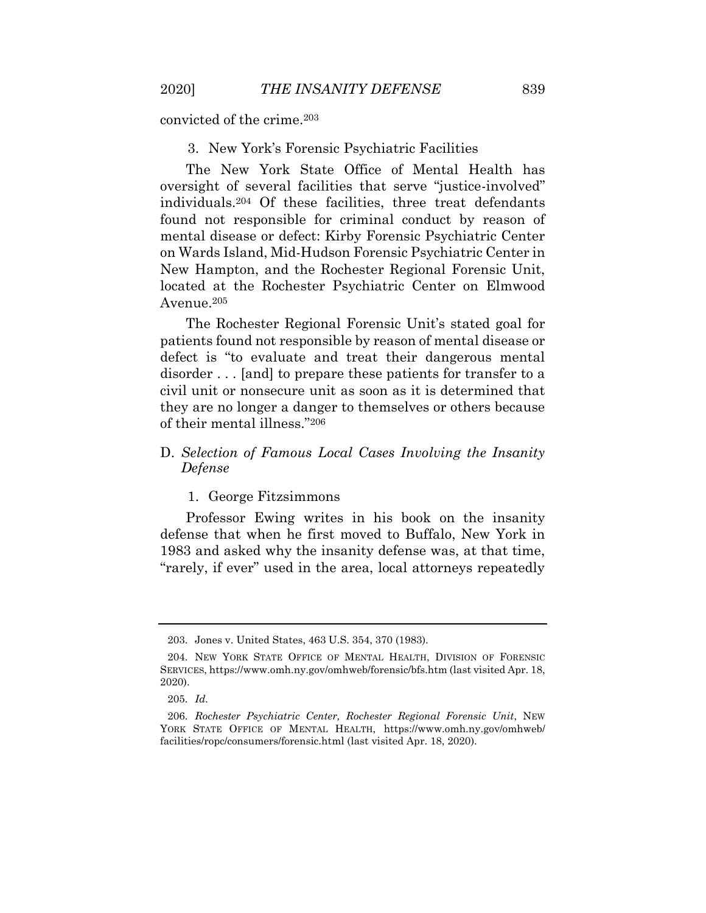convicted of the crime.<sup>203</sup>

3. New York's Forensic Psychiatric Facilities

The New York State Office of Mental Health has oversight of several facilities that serve "justice-involved" individuals.<sup>204</sup> Of these facilities, three treat defendants found not responsible for criminal conduct by reason of mental disease or defect: Kirby Forensic Psychiatric Center on Wards Island, Mid-Hudson Forensic Psychiatric Center in New Hampton, and the Rochester Regional Forensic Unit, located at the Rochester Psychiatric Center on Elmwood Avenue.<sup>205</sup>

The Rochester Regional Forensic Unit's stated goal for patients found not responsible by reason of mental disease or defect is "to evaluate and treat their dangerous mental disorder . . . [and] to prepare these patients for transfer to a civil unit or nonsecure unit as soon as it is determined that they are no longer a danger to themselves or others because of their mental illness."<sup>206</sup>

#### D. *Selection of Famous Local Cases Involving the Insanity Defense*

1. George Fitzsimmons

Professor Ewing writes in his book on the insanity defense that when he first moved to Buffalo, New York in 1983 and asked why the insanity defense was, at that time, "rarely, if ever" used in the area, local attorneys repeatedly

<sup>203.</sup> Jones v. United States, 463 U.S. 354, 370 (1983).

<sup>204.</sup> NEW YORK STATE OFFICE OF MENTAL HEALTH, DIVISION OF FORENSIC SERVICES, https://www.omh.ny.gov/omhweb/forensic/bfs.htm (last visited Apr. 18, 2020).

<sup>205.</sup> *Id.*

<sup>206.</sup> *Rochester Psychiatric Center, Rochester Regional Forensic Unit*, NEW YORK STATE OFFICE OF MENTAL HEALTH, https://www.omh.ny.gov/omhweb/ facilities/ropc/consumers/forensic.html (last visited Apr. 18, 2020).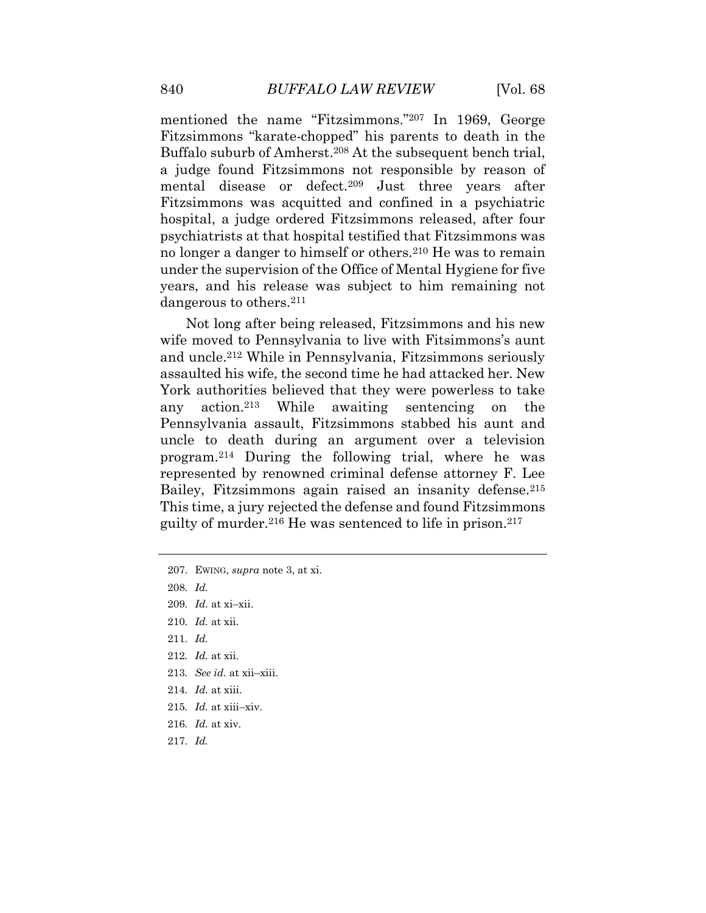mentioned the name "Fitzsimmons."<sup>207</sup> In 1969, George Fitzsimmons "karate-chopped" his parents to death in the Buffalo suburb of Amherst.<sup>208</sup> At the subsequent bench trial, a judge found Fitzsimmons not responsible by reason of mental disease or defect.<sup>209</sup> Just three years after Fitzsimmons was acquitted and confined in a psychiatric hospital, a judge ordered Fitzsimmons released, after four psychiatrists at that hospital testified that Fitzsimmons was no longer a danger to himself or others.<sup>210</sup> He was to remain under the supervision of the Office of Mental Hygiene for five years, and his release was subject to him remaining not dangerous to others.<sup>211</sup>

Not long after being released, Fitzsimmons and his new wife moved to Pennsylvania to live with Fitsimmons's aunt and uncle.<sup>212</sup> While in Pennsylvania, Fitzsimmons seriously assaulted his wife, the second time he had attacked her. New York authorities believed that they were powerless to take any action.<sup>213</sup> While awaiting sentencing on the Pennsylvania assault, Fitzsimmons stabbed his aunt and uncle to death during an argument over a television program.<sup>214</sup> During the following trial, where he was represented by renowned criminal defense attorney F. Lee Bailey, Fitzsimmons again raised an insanity defense.<sup>215</sup> This time, a jury rejected the defense and found Fitzsimmons guilty of murder.<sup>216</sup> He was sentenced to life in prison.<sup>217</sup>

- 207. EWING, *supra* note 3, at xi.
- 208*. Id.*
- 209*. Id.* at xi–xii.
- 210*. Id.* at xii.
- 211*. Id.*
- 212*. Id.* at xii.
- 213*. See id.* at xii–xiii.
- 214*. Id.* at xiii.
- 215*. Id.* at xiii–xiv.
- 216*. Id.* at xiv.
- 217*. Id.*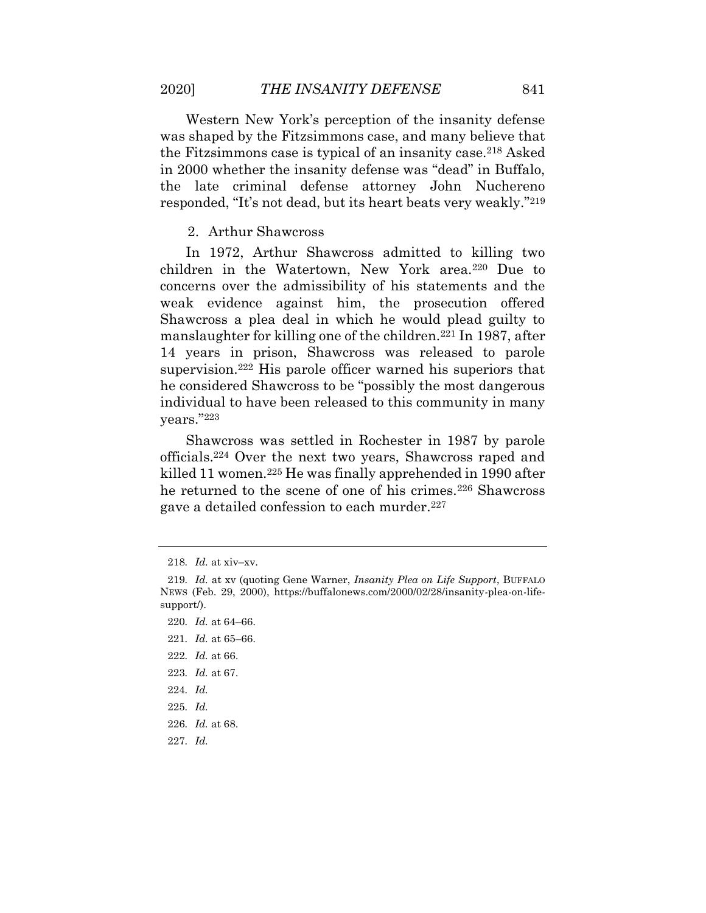Western New York's perception of the insanity defense was shaped by the Fitzsimmons case, and many believe that the Fitzsimmons case is typical of an insanity case.<sup>218</sup> Asked in 2000 whether the insanity defense was "dead" in Buffalo, the late criminal defense attorney John Nuchereno responded, "It's not dead, but its heart beats very weakly."<sup>219</sup>

2. Arthur Shawcross

In 1972, Arthur Shawcross admitted to killing two children in the Watertown, New York area.<sup>220</sup> Due to concerns over the admissibility of his statements and the weak evidence against him, the prosecution offered Shawcross a plea deal in which he would plead guilty to manslaughter for killing one of the children.<sup>221</sup> In 1987, after 14 years in prison, Shawcross was released to parole supervision.<sup>222</sup> His parole officer warned his superiors that he considered Shawcross to be "possibly the most dangerous individual to have been released to this community in many years."<sup>223</sup>

Shawcross was settled in Rochester in 1987 by parole officials.<sup>224</sup> Over the next two years, Shawcross raped and killed 11 women.<sup>225</sup> He was finally apprehended in 1990 after he returned to the scene of one of his crimes.<sup>226</sup> Shawcross gave a detailed confession to each murder. 227

- 222*. Id.* at 66.
- 223*. Id.* at 67.
- 224*. Id.*
- 225*. Id.*
- 226*. Id.* at 68.
- 227*. Id.*

<sup>218</sup>*. Id.* at xiv–xv.

<sup>219</sup>*. Id.* at xv (quoting Gene Warner, *Insanity Plea on Life Support*, BUFFALO NEWS (Feb. 29, 2000), https://buffalonews.com/2000/02/28/insanity-plea-on-lifesupport/).

<sup>220</sup>*. Id.* at 64–66.

<sup>221</sup>*. Id.* at 65–66.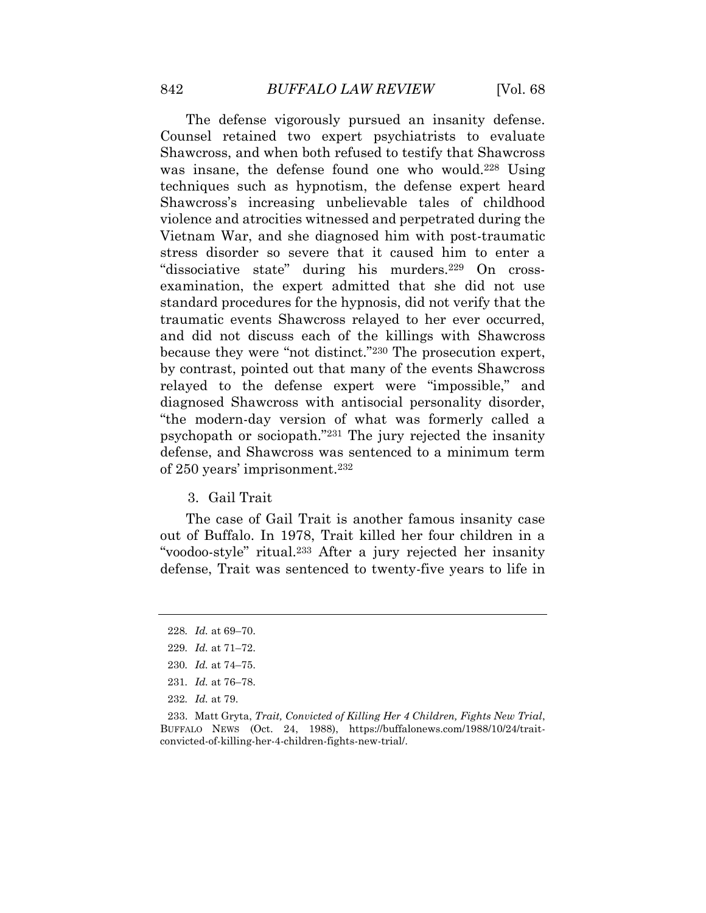The defense vigorously pursued an insanity defense. Counsel retained two expert psychiatrists to evaluate Shawcross, and when both refused to testify that Shawcross was insane, the defense found one who would.<sup>228</sup> Using techniques such as hypnotism, the defense expert heard Shawcross's increasing unbelievable tales of childhood violence and atrocities witnessed and perpetrated during the Vietnam War, and she diagnosed him with post-traumatic stress disorder so severe that it caused him to enter a "dissociative state" during his murders.<sup>229</sup> On crossexamination, the expert admitted that she did not use standard procedures for the hypnosis, did not verify that the traumatic events Shawcross relayed to her ever occurred, and did not discuss each of the killings with Shawcross because they were "not distinct."<sup>230</sup> The prosecution expert, by contrast, pointed out that many of the events Shawcross relayed to the defense expert were "impossible," and diagnosed Shawcross with antisocial personality disorder, "the modern-day version of what was formerly called a psychopath or sociopath."<sup>231</sup> The jury rejected the insanity defense, and Shawcross was sentenced to a minimum term of 250 years' imprisonment.<sup>232</sup>

3. Gail Trait

The case of Gail Trait is another famous insanity case out of Buffalo. In 1978, Trait killed her four children in a "voodoo-style" ritual.<sup>233</sup> After a jury rejected her insanity defense, Trait was sentenced to twenty-five years to life in

232*. Id.* at 79.

<sup>228</sup>*. Id.* at 69–70.

<sup>229</sup>*. Id.* at 71–72.

<sup>230</sup>*. Id.* at 74–75.

<sup>231</sup>*. Id.* at 76–78.

<sup>233.</sup> Matt Gryta, *Trait, Convicted of Killing Her 4 Children, Fights New Trial*, BUFFALO NEWS (Oct. 24, 1988), https://buffalonews.com/1988/10/24/traitconvicted-of-killing-her-4-children-fights-new-trial/.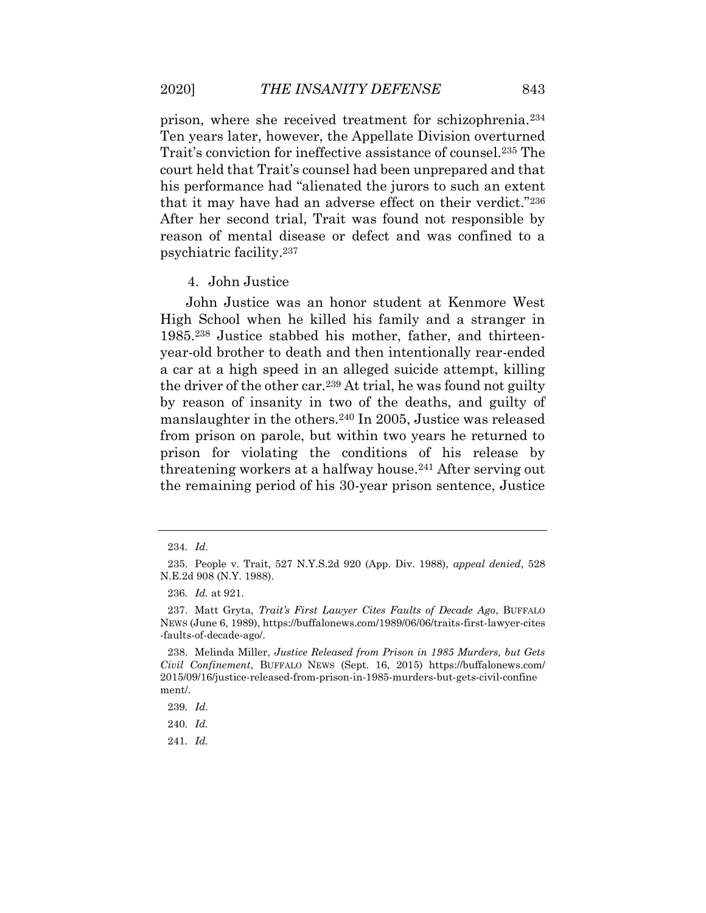prison, where she received treatment for schizophrenia.<sup>234</sup> Ten years later, however, the Appellate Division overturned Trait's conviction for ineffective assistance of counsel.<sup>235</sup> The court held that Trait's counsel had been unprepared and that his performance had "alienated the jurors to such an extent that it may have had an adverse effect on their verdict."<sup>236</sup> After her second trial, Trait was found not responsible by reason of mental disease or defect and was confined to a psychiatric facility.<sup>237</sup>

4. John Justice

John Justice was an honor student at Kenmore West High School when he killed his family and a stranger in 1985.<sup>238</sup> Justice stabbed his mother, father, and thirteenyear-old brother to death and then intentionally rear-ended a car at a high speed in an alleged suicide attempt, killing the driver of the other car.<sup>239</sup> At trial, he was found not guilty by reason of insanity in two of the deaths, and guilty of manslaughter in the others.<sup>240</sup> In 2005, Justice was released from prison on parole, but within two years he returned to prison for violating the conditions of his release by threatening workers at a halfway house.<sup>241</sup> After serving out the remaining period of his 30-year prison sentence, Justice

241*. Id.*

<sup>234</sup>*. Id.*

<sup>235.</sup> People v. Trait, 527 N.Y.S.2d 920 (App. Div. 1988), *appeal denied*, 528 N.E.2d 908 (N.Y. 1988).

<sup>236</sup>*. Id.* at 921.

<sup>237.</sup> Matt Gryta, *Trait's First Lawyer Cites Faults of Decade Ago*, BUFFALO NEWS (June 6, 1989), https://buffalonews.com/1989/06/06/traits-first-lawyer-cites -faults-of-decade-ago/.

<sup>238.</sup> Melinda Miller, *Justice Released from Prison in 1985 Murders, but Gets Civil Confinement*, BUFFALO NEWS (Sept. 16, 2015) https://buffalonews.com/ 2015/09/16/justice-released-from-prison-in-1985-murders-but-gets-civil-confine ment/.

<sup>239</sup>*. Id.*

<sup>240</sup>*. Id.*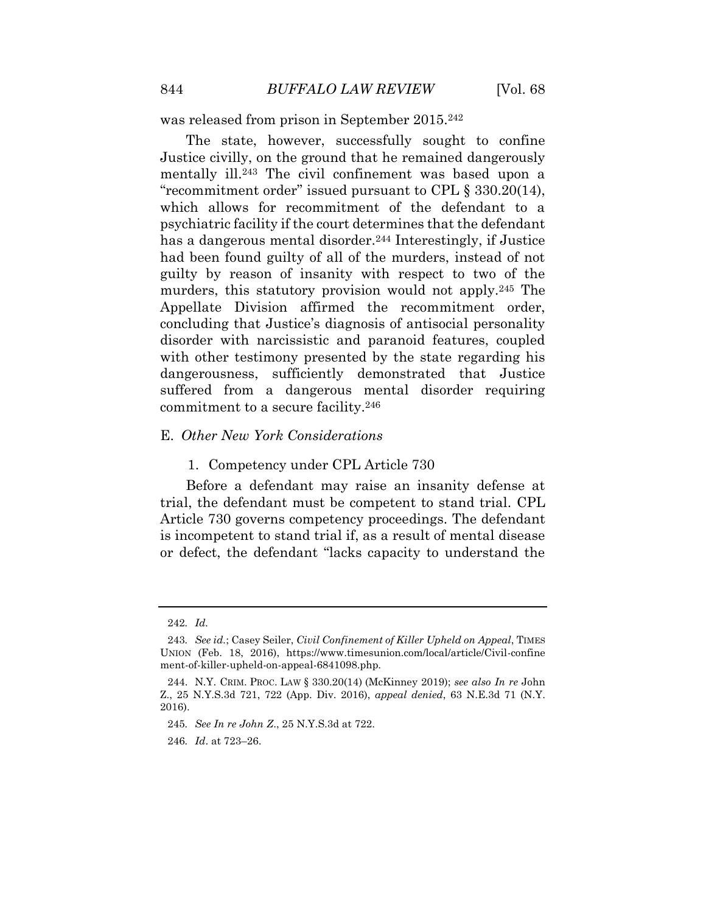was released from prison in September 2015.<sup>242</sup>

The state, however, successfully sought to confine Justice civilly, on the ground that he remained dangerously mentally ill.<sup>243</sup> The civil confinement was based upon a "recommitment order" issued pursuant to CPL § 330.20(14), which allows for recommitment of the defendant to a psychiatric facility if the court determines that the defendant has a dangerous mental disorder.<sup>244</sup> Interestingly, if Justice had been found guilty of all of the murders, instead of not guilty by reason of insanity with respect to two of the murders, this statutory provision would not apply.<sup>245</sup> The Appellate Division affirmed the recommitment order, concluding that Justice's diagnosis of antisocial personality disorder with narcissistic and paranoid features, coupled with other testimony presented by the state regarding his dangerousness, sufficiently demonstrated that Justice suffered from a dangerous mental disorder requiring commitment to a secure facility.<sup>246</sup>

#### E. *Other New York Considerations*

#### 1. Competency under CPL Article 730

Before a defendant may raise an insanity defense at trial, the defendant must be competent to stand trial. CPL Article 730 governs competency proceedings. The defendant is incompetent to stand trial if, as a result of mental disease or defect, the defendant "lacks capacity to understand the

<sup>242</sup>*. Id.*

<sup>243</sup>*. See id.*; Casey Seiler, *Civil Confinement of Killer Upheld on Appeal*, TIMES UNION (Feb. 18, 2016), https://www.timesunion.com/local/article/Civil-confine ment-of-killer-upheld-on-appeal-6841098.php.

<sup>244.</sup> N.Y. CRIM. PROC. LAW § 330.20(14) (McKinney 2019); *see also In re* John Z., 25 N.Y.S.3d 721, 722 (App. Div. 2016), *appeal denied*, 63 N.E.3d 71 (N.Y. 2016).

<sup>245</sup>*. See In re John Z*., 25 N.Y.S.3d at 722.

<sup>246</sup>*. Id*. at 723–26.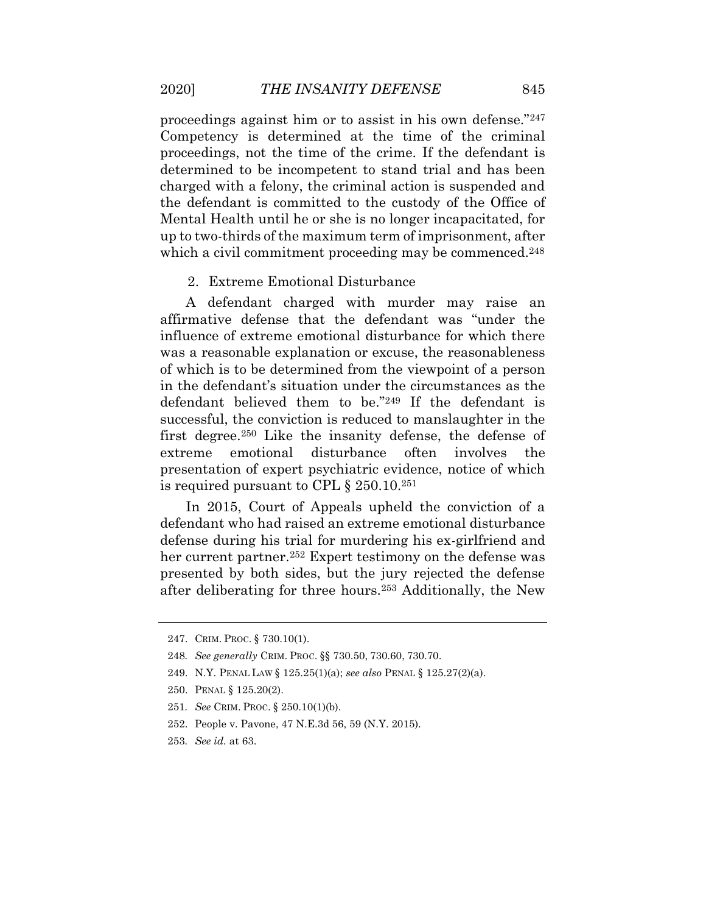proceedings against him or to assist in his own defense."<sup>247</sup> Competency is determined at the time of the criminal proceedings, not the time of the crime. If the defendant is determined to be incompetent to stand trial and has been charged with a felony, the criminal action is suspended and the defendant is committed to the custody of the Office of Mental Health until he or she is no longer incapacitated, for up to two-thirds of the maximum term of imprisonment, after which a civil commitment proceeding may be commenced.<sup>248</sup>

2. Extreme Emotional Disturbance

A defendant charged with murder may raise an affirmative defense that the defendant was "under the influence of extreme emotional disturbance for which there was a reasonable explanation or excuse, the reasonableness of which is to be determined from the viewpoint of a person in the defendant's situation under the circumstances as the defendant believed them to be."<sup>249</sup> If the defendant is successful, the conviction is reduced to manslaughter in the first degree.<sup>250</sup> Like the insanity defense, the defense of extreme emotional disturbance often involves the presentation of expert psychiatric evidence, notice of which is required pursuant to CPL § 250.10.<sup>251</sup>

In 2015, Court of Appeals upheld the conviction of a defendant who had raised an extreme emotional disturbance defense during his trial for murdering his ex-girlfriend and her current partner.<sup>252</sup> Expert testimony on the defense was presented by both sides, but the jury rejected the defense after deliberating for three hours.<sup>253</sup> Additionally, the New

- 251*. See* CRIM. PROC. § 250.10(1)(b).
- 252. People v. Pavone, 47 N.E.3d 56, 59 (N.Y. 2015).
- 253*. See id.* at 63.

<sup>247.</sup> CRIM. PROC. § 730.10(1).

<sup>248</sup>*. See generally* CRIM. PROC. §§ 730.50, 730.60, 730.70.

<sup>249.</sup> N.Y. PENAL LAW § 125.25(1)(a); *see also* PENAL § 125.27(2)(a).

<sup>250.</sup> PENAL § 125.20(2).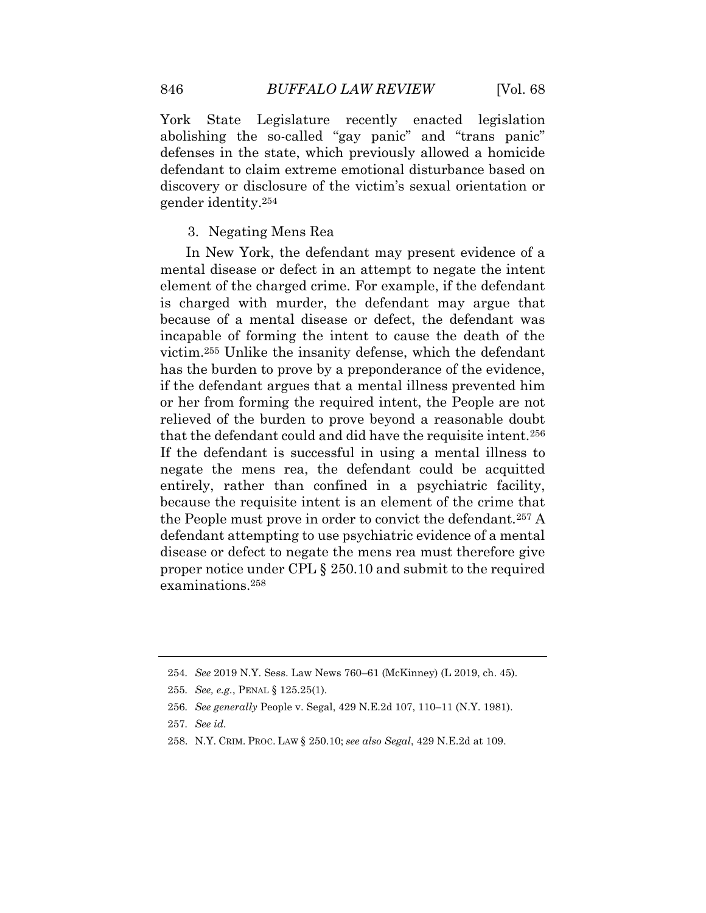York State Legislature recently enacted legislation abolishing the so-called "gay panic" and "trans panic" defenses in the state, which previously allowed a homicide defendant to claim extreme emotional disturbance based on discovery or disclosure of the victim's sexual orientation or gender identity.<sup>254</sup>

#### 3. Negating Mens Rea

In New York, the defendant may present evidence of a mental disease or defect in an attempt to negate the intent element of the charged crime. For example, if the defendant is charged with murder, the defendant may argue that because of a mental disease or defect, the defendant was incapable of forming the intent to cause the death of the victim.<sup>255</sup> Unlike the insanity defense, which the defendant has the burden to prove by a preponderance of the evidence, if the defendant argues that a mental illness prevented him or her from forming the required intent, the People are not relieved of the burden to prove beyond a reasonable doubt that the defendant could and did have the requisite intent.<sup>256</sup> If the defendant is successful in using a mental illness to negate the mens rea, the defendant could be acquitted entirely, rather than confined in a psychiatric facility, because the requisite intent is an element of the crime that the People must prove in order to convict the defendant.<sup>257</sup> A defendant attempting to use psychiatric evidence of a mental disease or defect to negate the mens rea must therefore give proper notice under CPL § 250.10 and submit to the required examinations.<sup>258</sup>

<sup>254</sup>*. See* 2019 N.Y. Sess. Law News 760–61 (McKinney) (L 2019, ch. 45).

<sup>255</sup>*. See, e.g.*, PENAL § 125.25(1).

<sup>256</sup>*. See generally* People v. Segal, 429 N.E.2d 107, 110–11 (N.Y. 1981).

<sup>257</sup>*. See id.*

<sup>258.</sup> N.Y. CRIM. PROC. LAW § 250.10; *see also Segal*, 429 N.E.2d at 109.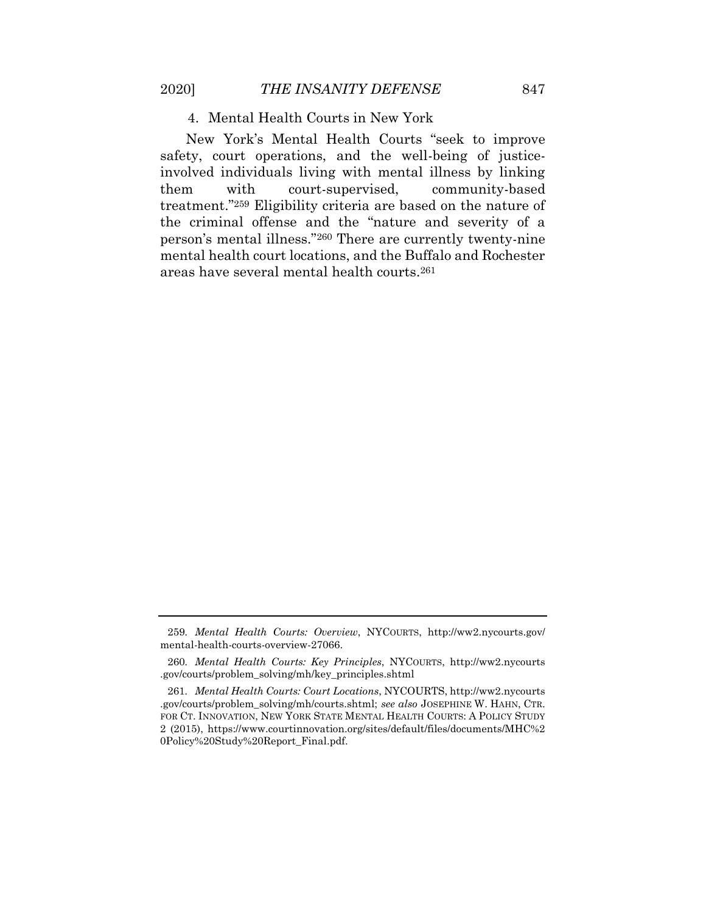#### 4. Mental Health Courts in New York

New York's Mental Health Courts "seek to improve safety, court operations, and the well-being of justiceinvolved individuals living with mental illness by linking them with court-supervised, community-based treatment."<sup>259</sup> Eligibility criteria are based on the nature of the criminal offense and the "nature and severity of a person's mental illness."<sup>260</sup> There are currently twenty-nine mental health court locations, and the Buffalo and Rochester areas have several mental health courts.<sup>261</sup>

<sup>259</sup>*. Mental Health Courts: Overview*, NYCOURTS, http://ww2.nycourts.gov/ mental-health-courts-overview-27066.

<sup>260</sup>*. Mental Health Courts: Key Principles*, NYCOURTS, http://ww2.nycourts .gov/courts/problem\_solving/mh/key\_principles.shtml

<sup>261</sup>*. Mental Health Courts: Court Locations*, NYCOURTS, http://ww2.nycourts .gov/courts/problem\_solving/mh/courts.shtml; *see also* JOSEPHINE W. HAHN, CTR. FOR CT. INNOVATION, NEW YORK STATE MENTAL HEALTH COURTS: A POLICY STUDY 2 (2015), https://www.courtinnovation.org/sites/default/files/documents/MHC%2 0Policy%20Study%20Report\_Final.pdf.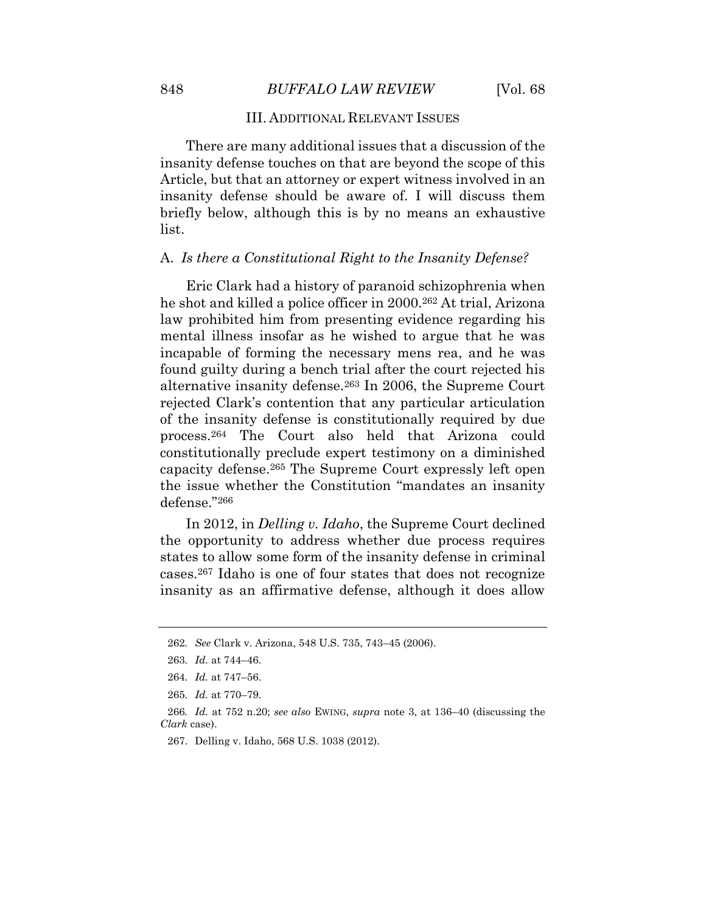#### III. ADDITIONAL RELEVANT ISSUES

There are many additional issues that a discussion of the insanity defense touches on that are beyond the scope of this Article, but that an attorney or expert witness involved in an insanity defense should be aware of. I will discuss them briefly below, although this is by no means an exhaustive list.

#### A. *Is there a Constitutional Right to the Insanity Defense?*

Eric Clark had a history of paranoid schizophrenia when he shot and killed a police officer in 2000.<sup>262</sup> At trial, Arizona law prohibited him from presenting evidence regarding his mental illness insofar as he wished to argue that he was incapable of forming the necessary mens rea, and he was found guilty during a bench trial after the court rejected his alternative insanity defense.<sup>263</sup> In 2006, the Supreme Court rejected Clark's contention that any particular articulation of the insanity defense is constitutionally required by due process.<sup>264</sup> The Court also held that Arizona could constitutionally preclude expert testimony on a diminished capacity defense.<sup>265</sup> The Supreme Court expressly left open the issue whether the Constitution "mandates an insanity defense."<sup>266</sup>

In 2012, in *Delling v. Idaho*, the Supreme Court declined the opportunity to address whether due process requires states to allow some form of the insanity defense in criminal cases.<sup>267</sup> Idaho is one of four states that does not recognize insanity as an affirmative defense, although it does allow

<sup>262</sup>*. See* Clark v. Arizona, 548 U.S. 735, 743–45 (2006).

<sup>263</sup>*. Id.* at 744–46.

<sup>264</sup>*. Id.* at 747–56.

<sup>265</sup>*. Id.* at 770–79.

<sup>266</sup>*. Id.* at 752 n.20; *see also* EWING, *supra* note 3, at 136–40 (discussing the *Clark* case).

<sup>267.</sup> Delling v. Idaho, 568 U.S. 1038 (2012).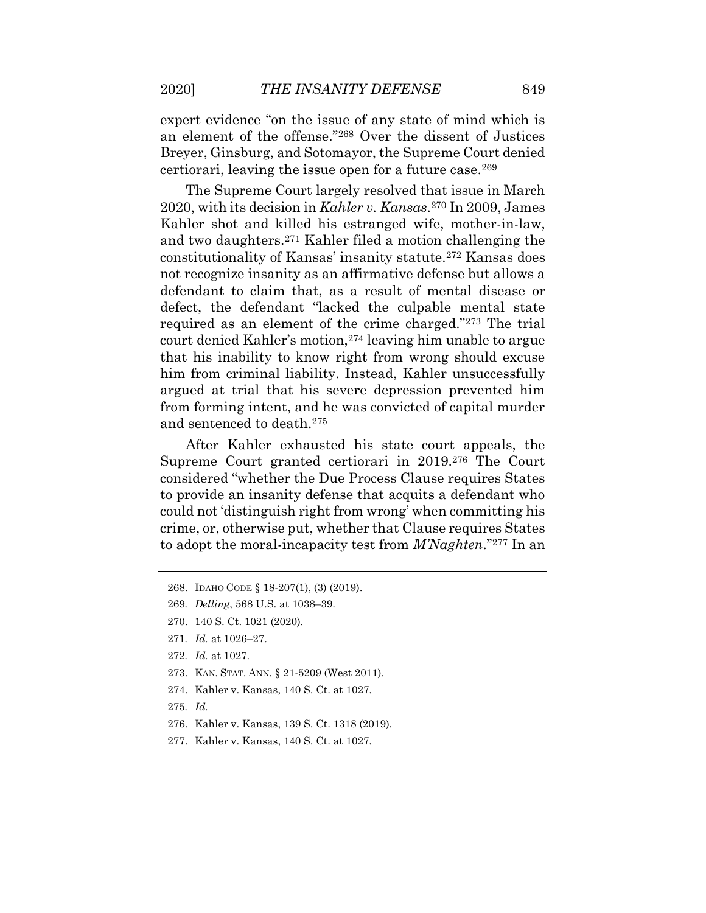expert evidence "on the issue of any state of mind which is an element of the offense."<sup>268</sup> Over the dissent of Justices Breyer, Ginsburg, and Sotomayor, the Supreme Court denied certiorari, leaving the issue open for a future case.<sup>269</sup>

The Supreme Court largely resolved that issue in March 2020, with its decision in *Kahler v. Kansas*. <sup>270</sup> In 2009, James Kahler shot and killed his estranged wife, mother-in-law, and two daughters.<sup>271</sup> Kahler filed a motion challenging the constitutionality of Kansas' insanity statute.<sup>272</sup> Kansas does not recognize insanity as an affirmative defense but allows a defendant to claim that, as a result of mental disease or defect, the defendant "lacked the culpable mental state required as an element of the crime charged."<sup>273</sup> The trial court denied Kahler's motion,<sup>274</sup> leaving him unable to argue that his inability to know right from wrong should excuse him from criminal liability. Instead, Kahler unsuccessfully argued at trial that his severe depression prevented him from forming intent, and he was convicted of capital murder and sentenced to death.<sup>275</sup>

After Kahler exhausted his state court appeals, the Supreme Court granted certiorari in 2019.<sup>276</sup> The Court considered "whether the Due Process Clause requires States to provide an insanity defense that acquits a defendant who could not 'distinguish right from wrong' when committing his crime, or, otherwise put, whether that Clause requires States to adopt the moral-incapacity test from *M'Naghten*."<sup>277</sup> In an

- 274. Kahler v. Kansas, 140 S. Ct. at 1027.
- 275*. Id.*
- 276. Kahler v. Kansas, 139 S. Ct. 1318 (2019).
- 277. Kahler v. Kansas, 140 S. Ct. at 1027.

<sup>268.</sup> IDAHO CODE § 18-207(1), (3) (2019).

<sup>269</sup>*. Delling*, 568 U.S. at 1038–39.

<sup>270.</sup> 140 S. Ct. 1021 (2020).

<sup>271</sup>*. Id.* at 1026–27.

<sup>272</sup>*. Id.* at 1027.

<sup>273.</sup> KAN. STAT. ANN. § 21-5209 (West 2011).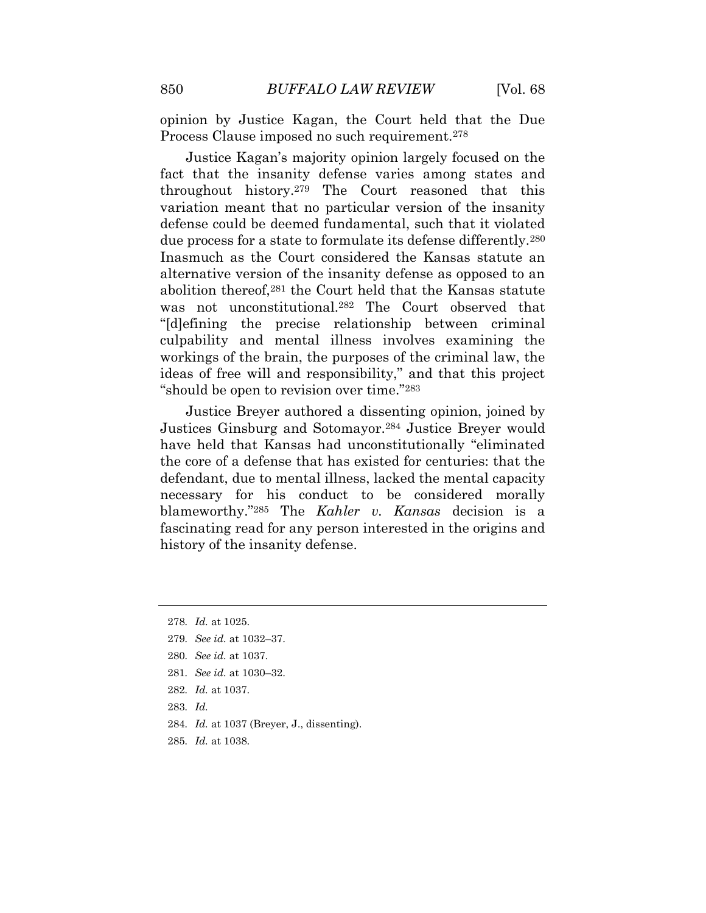opinion by Justice Kagan, the Court held that the Due Process Clause imposed no such requirement.<sup>278</sup>

Justice Kagan's majority opinion largely focused on the fact that the insanity defense varies among states and throughout history.<sup>279</sup> The Court reasoned that this variation meant that no particular version of the insanity defense could be deemed fundamental, such that it violated due process for a state to formulate its defense differently.<sup>280</sup> Inasmuch as the Court considered the Kansas statute an alternative version of the insanity defense as opposed to an abolition thereof,<sup>281</sup> the Court held that the Kansas statute was not unconstitutional.<sup>282</sup> The Court observed that "[d]efining the precise relationship between criminal culpability and mental illness involves examining the workings of the brain, the purposes of the criminal law, the ideas of free will and responsibility," and that this project "should be open to revision over time."<sup>283</sup>

Justice Breyer authored a dissenting opinion, joined by Justices Ginsburg and Sotomayor.<sup>284</sup> Justice Breyer would have held that Kansas had unconstitutionally "eliminated the core of a defense that has existed for centuries: that the defendant, due to mental illness, lacked the mental capacity necessary for his conduct to be considered morally blameworthy."<sup>285</sup> The *Kahler v. Kansas* decision is a fascinating read for any person interested in the origins and history of the insanity defense.

- 281*. See id.* at 1030–32.
- 282*. Id.* at 1037.
- 283*. Id.*
- 284*. Id.* at 1037 (Breyer, J., dissenting).
- 285*. Id.* at 1038.

<sup>278</sup>*. Id.* at 1025.

<sup>279</sup>*. See id.* at 1032–37.

<sup>280</sup>*. See id.* at 1037.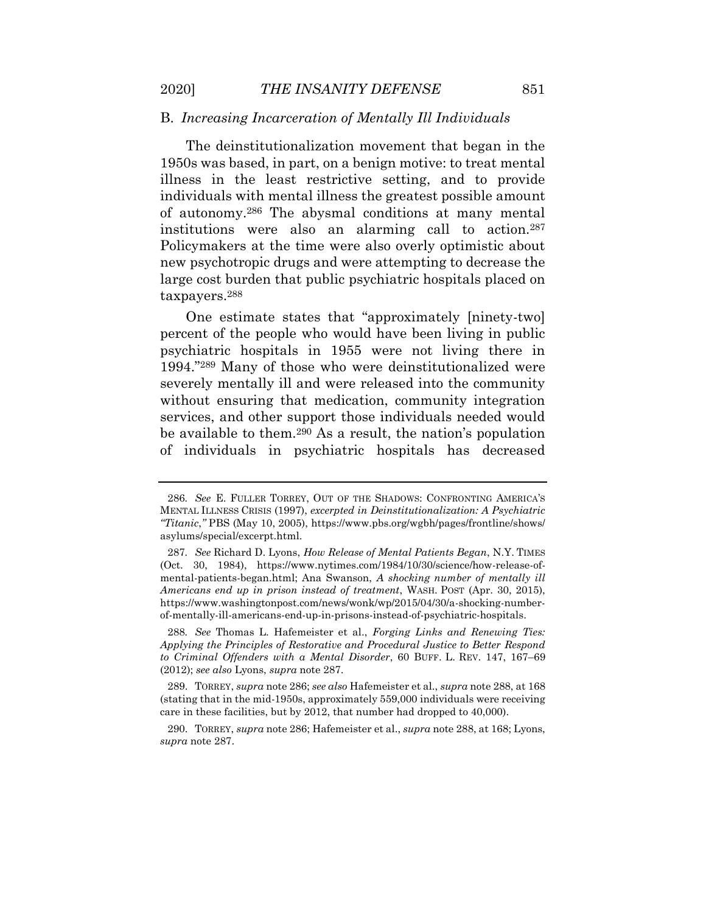#### B. *Increasing Incarceration of Mentally Ill Individuals*

The deinstitutionalization movement that began in the 1950s was based, in part, on a benign motive: to treat mental illness in the least restrictive setting, and to provide individuals with mental illness the greatest possible amount of autonomy.<sup>286</sup> The abysmal conditions at many mental institutions were also an alarming call to action.<sup>287</sup> Policymakers at the time were also overly optimistic about new psychotropic drugs and were attempting to decrease the large cost burden that public psychiatric hospitals placed on taxpayers.<sup>288</sup>

One estimate states that "approximately [ninety-two] percent of the people who would have been living in public psychiatric hospitals in 1955 were not living there in 1994."<sup>289</sup> Many of those who were deinstitutionalized were severely mentally ill and were released into the community without ensuring that medication, community integration services, and other support those individuals needed would be available to them.<sup>290</sup> As a result, the nation's population of individuals in psychiatric hospitals has decreased

<sup>286</sup>*. See* E. FULLER TORREY, OUT OF THE SHADOWS: CONFRONTING AMERICA'S MENTAL ILLNESS CRISIS (1997), *excerpted in Deinstitutionalization: A Psychiatric "Titanic*,*"* PBS (May 10, 2005), https://www.pbs.org/wgbh/pages/frontline/shows/ asylums/special/excerpt.html.

<sup>287</sup>*. See* Richard D. Lyons, *How Release of Mental Patients Began*, N.Y. TIMES (Oct. 30, 1984), https://www.nytimes.com/1984/10/30/science/how-release-ofmental-patients-began.html; Ana Swanson, *A shocking number of mentally ill Americans end up in prison instead of treatment*, WASH. POST (Apr. 30, 2015), https://www.washingtonpost.com/news/wonk/wp/2015/04/30/a-shocking-numberof-mentally-ill-americans-end-up-in-prisons-instead-of-psychiatric-hospitals.

<sup>288</sup>*. See* Thomas L. Hafemeister et al., *Forging Links and Renewing Ties: Applying the Principles of Restorative and Procedural Justice to Better Respond to Criminal Offenders with a Mental Disorder*, 60 BUFF. L. REV. 147, 167–69 (2012); *see also* Lyons, *supra* note 287.

<sup>289.</sup> TORREY, *supra* note 286; *see also* Hafemeister et al., *supra* note 288, at 168 (stating that in the mid-1950s, approximately 559,000 individuals were receiving care in these facilities, but by 2012, that number had dropped to 40,000).

<sup>290.</sup> TORREY, *supra* note 286; Hafemeister et al., *supra* note 288, at 168; Lyons, *supra* note 287.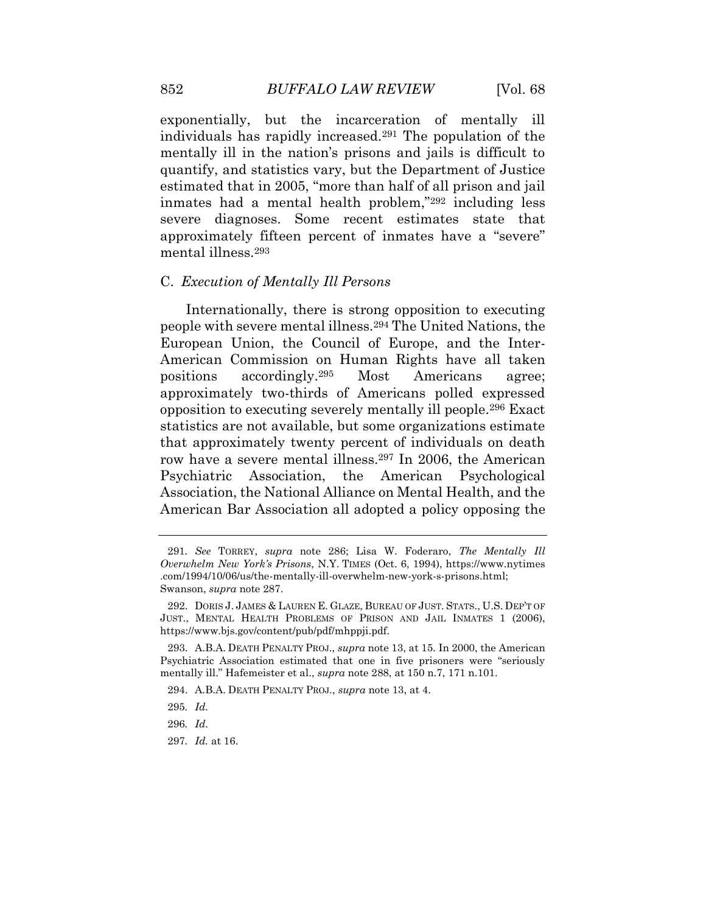exponentially, but the incarceration of mentally ill individuals has rapidly increased.<sup>291</sup> The population of the mentally ill in the nation's prisons and jails is difficult to quantify, and statistics vary, but the Department of Justice estimated that in 2005, "more than half of all prison and jail inmates had a mental health problem,"<sup>292</sup> including less severe diagnoses. Some recent estimates state that approximately fifteen percent of inmates have a "severe" mental illness.<sup>293</sup>

#### C. *Execution of Mentally Ill Persons*

Internationally, there is strong opposition to executing people with severe mental illness.<sup>294</sup> The United Nations, the European Union, the Council of Europe, and the Inter-American Commission on Human Rights have all taken positions accordingly.<sup>295</sup> Most Americans agree; approximately two-thirds of Americans polled expressed opposition to executing severely mentally ill people.<sup>296</sup> Exact statistics are not available, but some organizations estimate that approximately twenty percent of individuals on death row have a severe mental illness.<sup>297</sup> In 2006, the American Psychiatric Association, the American Psychological Association, the National Alliance on Mental Health, and the American Bar Association all adopted a policy opposing the

297*. Id.* at 16.

<sup>291</sup>*. See* TORREY, *supra* note 286; Lisa W. Foderaro, *The Mentally Ill Overwhelm New York's Prisons*, N.Y. TIMES (Oct. 6, 1994), https://www.nytimes .com/1994/10/06/us/the-mentally-ill-overwhelm-new-york-s-prisons.html; Swanson, *supra* note 287.

<sup>292.</sup> DORIS J. JAMES & LAUREN E. GLAZE, BUREAU OF JUST. STATS., U.S. DEP'T OF JUST., MENTAL HEALTH PROBLEMS OF PRISON AND JAIL INMATES 1 (2006), https://www.bjs.gov/content/pub/pdf/mhppji.pdf.

<sup>293.</sup> A.B.A. DEATH PENALTY PROJ., *supra* note 13, at 15. In 2000, the American Psychiatric Association estimated that one in five prisoners were "seriously mentally ill." Hafemeister et al., *supra* note 288, at 150 n.7, 171 n.101.

<sup>294.</sup> A.B.A. DEATH PENALTY PROJ., *supra* note 13, at 4.

<sup>295</sup>*. Id.*

<sup>296</sup>*. Id.*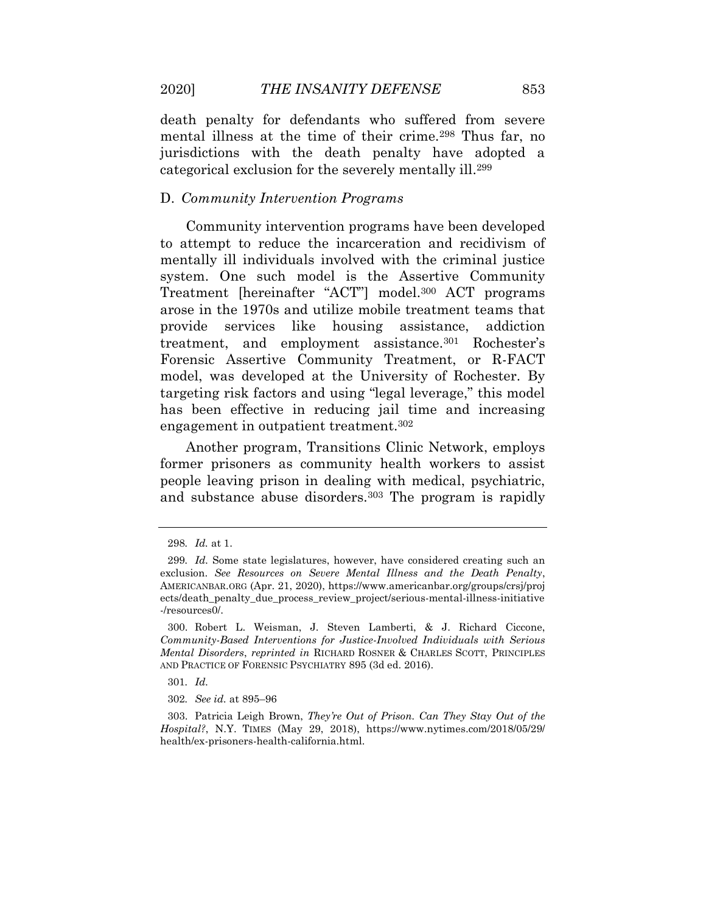death penalty for defendants who suffered from severe mental illness at the time of their crime.<sup>298</sup> Thus far, no jurisdictions with the death penalty have adopted a categorical exclusion for the severely mentally ill.<sup>299</sup>

#### D. *Community Intervention Programs*

Community intervention programs have been developed to attempt to reduce the incarceration and recidivism of mentally ill individuals involved with the criminal justice system. One such model is the Assertive Community Treatment [hereinafter "ACT"] model.<sup>300</sup> ACT programs arose in the 1970s and utilize mobile treatment teams that provide services like housing assistance, addiction treatment, and employment assistance.<sup>301</sup> Rochester's Forensic Assertive Community Treatment, or R-FACT model, was developed at the University of Rochester. By targeting risk factors and using "legal leverage," this model has been effective in reducing jail time and increasing engagement in outpatient treatment.<sup>302</sup>

Another program, Transitions Clinic Network, employs former prisoners as community health workers to assist people leaving prison in dealing with medical, psychiatric, and substance abuse disorders.<sup>303</sup> The program is rapidly

301*. Id.*

302*. See id.* at 895–96

<sup>298</sup>*. Id.* at 1.

<sup>299</sup>*. Id.* Some state legislatures, however, have considered creating such an exclusion. *See Resources on Severe Mental Illness and the Death Penalty*, AMERICANBAR.ORG (Apr. 21, 2020), https://www.americanbar.org/groups/crsj/proj ects/death\_penalty\_due\_process\_review\_project/serious-mental-illness-initiative -/resources0/.

<sup>300.</sup> Robert L. Weisman, J. Steven Lamberti, & J. Richard Ciccone, *Community-Based Interventions for Justice-Involved Individuals with Serious Mental Disorders*, *reprinted in* RICHARD ROSNER & CHARLES SCOTT, PRINCIPLES AND PRACTICE OF FORENSIC PSYCHIATRY 895 (3d ed. 2016).

<sup>303.</sup> Patricia Leigh Brown, *They're Out of Prison. Can They Stay Out of the Hospital?*, N.Y. TIMES (May 29, 2018), https://www.nytimes.com/2018/05/29/ health/ex-prisoners-health-california.html.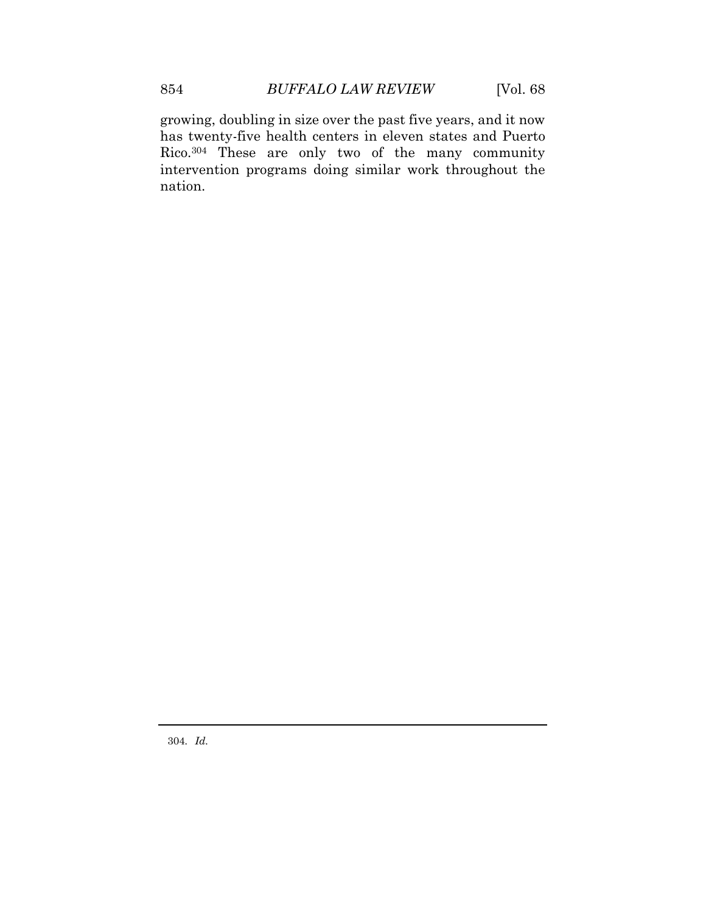growing, doubling in size over the past five years, and it now has twenty-five health centers in eleven states and Puerto Rico.<sup>304</sup> These are only two of the many community intervention programs doing similar work throughout the nation.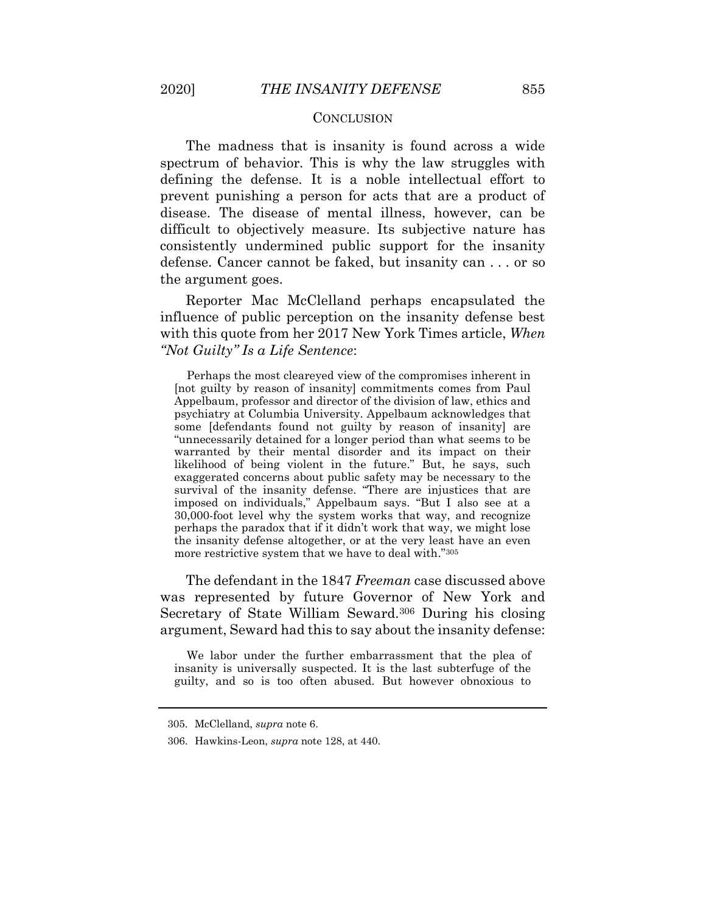#### **CONCLUSION**

The madness that is insanity is found across a wide spectrum of behavior. This is why the law struggles with defining the defense. It is a noble intellectual effort to prevent punishing a person for acts that are a product of disease. The disease of mental illness, however, can be difficult to objectively measure. Its subjective nature has consistently undermined public support for the insanity defense. Cancer cannot be faked, but insanity can . . . or so the argument goes.

Reporter Mac McClelland perhaps encapsulated the influence of public perception on the insanity defense best with this quote from her 2017 New York Times article, *When "Not Guilty" Is a Life Sentence*:

Perhaps the most cleareyed view of the compromises inherent in [not guilty by reason of insanity] commitments comes from Paul Appelbaum, professor and director of the division of law, ethics and psychiatry at Columbia University. Appelbaum acknowledges that some [defendants found not guilty by reason of insanity] are "unnecessarily detained for a longer period than what seems to be warranted by their mental disorder and its impact on their likelihood of being violent in the future." But, he says, such exaggerated concerns about public safety may be necessary to the survival of the insanity defense. "There are injustices that are imposed on individuals," Appelbaum says. "But I also see at a 30,000-foot level why the system works that way, and recognize perhaps the paradox that if it didn't work that way, we might lose the insanity defense altogether, or at the very least have an even more restrictive system that we have to deal with."<sup>305</sup>

The defendant in the 1847 *Freeman* case discussed above was represented by future Governor of New York and Secretary of State William Seward.<sup>306</sup> During his closing argument, Seward had this to say about the insanity defense:

We labor under the further embarrassment that the plea of insanity is universally suspected. It is the last subterfuge of the guilty, and so is too often abused. But however obnoxious to

<sup>305.</sup> McClelland, *supra* note 6.

<sup>306.</sup> Hawkins-Leon, *supra* note 128, at 440.